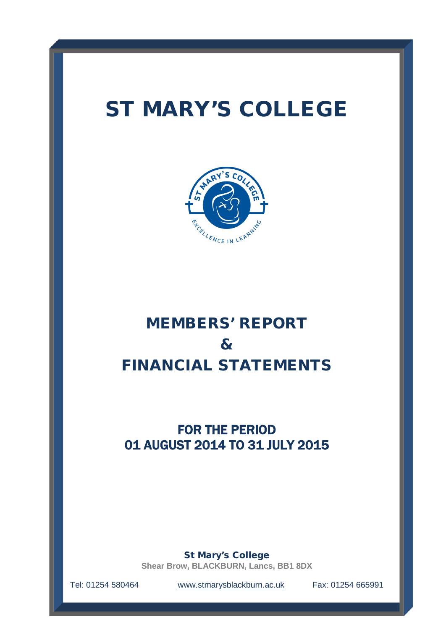# ST MARY'S COLLEGE



# MEMBERS' REPORT & FINANCIAL STATEMENTS

# FOR THE PERIOD 01 AUGUST 2014 TO 31 JULY 2015

St Mary's College

**Shear Brow, BLACKBURN, Lancs, BB1 8DX**

Tel: 01254 580464 [www.stmarysblackburn.ac.uk](http://www.stmarysblackburn.ac.uk/) Fax: 01254 665991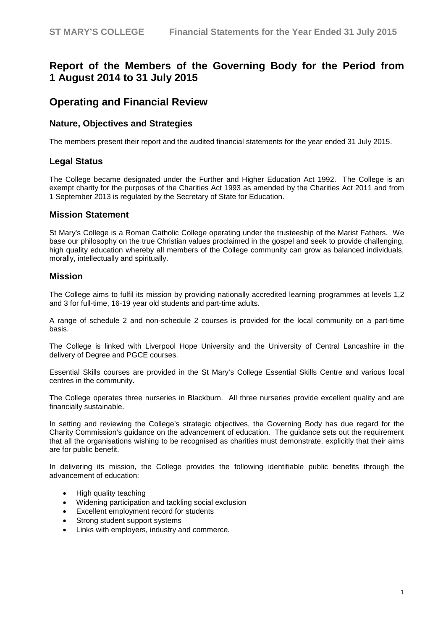# **Report of the Members of the Governing Body for the Period from 1 August 2014 to 31 July 2015**

# **Operating and Financial Review**

### **Nature, Objectives and Strategies**

The members present their report and the audited financial statements for the year ended 31 July 2015.

### **Legal Status**

The College became designated under the Further and Higher Education Act 1992. The College is an exempt charity for the purposes of the Charities Act 1993 as amended by the Charities Act 2011 and from 1 September 2013 is regulated by the Secretary of State for Education.

#### **Mission Statement**

St Mary's College is a Roman Catholic College operating under the trusteeship of the Marist Fathers. We base our philosophy on the true Christian values proclaimed in the gospel and seek to provide challenging, high quality education whereby all members of the College community can grow as balanced individuals, morally, intellectually and spiritually.

#### **Mission**

The College aims to fulfil its mission by providing nationally accredited learning programmes at levels 1,2 and 3 for full-time, 16-19 year old students and part-time adults.

A range of schedule 2 and non-schedule 2 courses is provided for the local community on a part-time basis.

The College is linked with Liverpool Hope University and the University of Central Lancashire in the delivery of Degree and PGCE courses.

Essential Skills courses are provided in the St Mary's College Essential Skills Centre and various local centres in the community.

The College operates three nurseries in Blackburn. All three nurseries provide excellent quality and are financially sustainable.

In setting and reviewing the College's strategic objectives, the Governing Body has due regard for the Charity Commission's guidance on the advancement of education. The guidance sets out the requirement that all the organisations wishing to be recognised as charities must demonstrate, explicitly that their aims are for public benefit.

In delivering its mission, the College provides the following identifiable public benefits through the advancement of education:

- High quality teaching
- Widening participation and tackling social exclusion
- Excellent employment record for students
- Strong student support systems
- Links with employers, industry and commerce.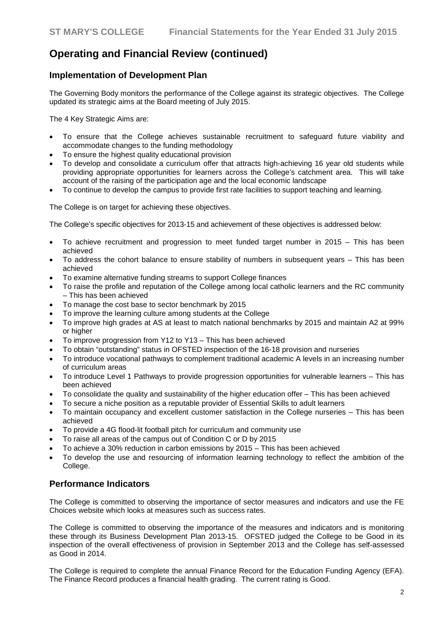### **Implementation of Development Plan**

The Governing Body monitors the performance of the College against its strategic objectives. The College updated its strategic aims at the Board meeting of July 2015.

The 4 Key Strategic Aims are:

- To ensure that the College achieves sustainable recruitment to safeguard future viability and accommodate changes to the funding methodology
- To ensure the highest quality educational provision
- To develop and consolidate a curriculum offer that attracts high-achieving 16 year old students while providing appropriate opportunities for learners across the College's catchment area. This will take account of the raising of the participation age and the local economic landscape
- To continue to develop the campus to provide first rate facilities to support teaching and learning.

The College is on target for achieving these objectives.

The College's specific objectives for 2013-15 and achievement of these objectives is addressed below:

- To achieve recruitment and progression to meet funded target number in 2015  $-$  This has been achieved
- To address the cohort balance to ensure stability of numbers in subsequent years This has been achieved
- To examine alternative funding streams to support College finances
- To raise the profile and reputation of the College among local catholic learners and the RC community – This has been achieved
- To manage the cost base to sector benchmark by 2015
- To improve the learning culture among students at the College
- To improve high grades at AS at least to match national benchmarks by 2015 and maintain A2 at 99% or higher
- To improve progression from Y12 to Y13 This has been achieved
- To obtain "outstanding" status in OFSTED inspection of the 16-18 provision and nurseries
- To introduce vocational pathways to complement traditional academic A levels in an increasing number of curriculum areas
- To introduce Level 1 Pathways to provide progression opportunities for vulnerable learners This has been achieved
- To consolidate the quality and sustainability of the higher education offer This has been achieved
- To secure a niche position as a reputable provider of Essential Skills to adult learners
- To maintain occupancy and excellent customer satisfaction in the College nurseries This has been achieved
- To provide a 4G flood-lit football pitch for curriculum and community use
- To raise all areas of the campus out of Condition C or D by 2015
- To achieve a 30% reduction in carbon emissions by 2015 This has been achieved
- To develop the use and resourcing of information learning technology to reflect the ambition of the College.

### **Performance Indicators**

The College is committed to observing the importance of sector measures and indicators and use the FE Choices website which looks at measures such as success rates.

The College is committed to observing the importance of the measures and indicators and is monitoring these through its Business Development Plan 2013-15. OFSTED judged the College to be Good in its inspection of the overall effectiveness of provision in September 2013 and the College has self-assessed as Good in 2014.

The College is required to complete the annual Finance Record for the Education Funding Agency (EFA). The Finance Record produces a financial health grading. The current rating is Good.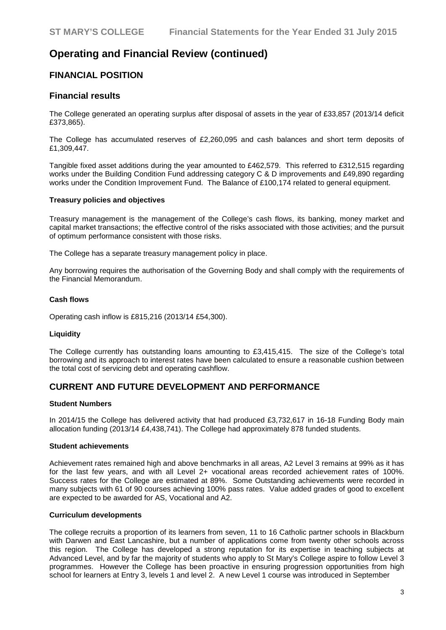### **FINANCIAL POSITION**

### **Financial results**

The College generated an operating surplus after disposal of assets in the year of £33,857 (2013/14 deficit £373,865).

The College has accumulated reserves of £2,260,095 and cash balances and short term deposits of £1,309,447.

Tangible fixed asset additions during the year amounted to £462,579. This referred to £312,515 regarding works under the Building Condition Fund addressing category C & D improvements and £49,890 regarding works under the Condition Improvement Fund. The Balance of £100,174 related to general equipment.

#### **Treasury policies and objectives**

Treasury management is the management of the College's cash flows, its banking, money market and capital market transactions; the effective control of the risks associated with those activities; and the pursuit of optimum performance consistent with those risks.

The College has a separate treasury management policy in place.

Any borrowing requires the authorisation of the Governing Body and shall comply with the requirements of the Financial Memorandum.

#### **Cash flows**

Operating cash inflow is £815,216 (2013/14 £54,300).

#### **Liquidity**

The College currently has outstanding loans amounting to £3,415,415. The size of the College's total borrowing and its approach to interest rates have been calculated to ensure a reasonable cushion between the total cost of servicing debt and operating cashflow.

#### **CURRENT AND FUTURE DEVELOPMENT AND PERFORMANCE**

#### **Student Numbers**

In 2014/15 the College has delivered activity that had produced £3,732,617 in 16-18 Funding Body main allocation funding (2013/14 £4,438,741). The College had approximately 878 funded students.

#### **Student achievements**

Achievement rates remained high and above benchmarks in all areas, A2 Level 3 remains at 99% as it has for the last few years, and with all Level 2+ vocational areas recorded achievement rates of 100%. Success rates for the College are estimated at 89%. Some Outstanding achievements were recorded in many subjects with 61 of 90 courses achieving 100% pass rates. Value added grades of good to excellent are expected to be awarded for AS, Vocational and A2.

#### **Curriculum developments**

The college recruits a proportion of its learners from seven, 11 to 16 Catholic partner schools in Blackburn with Darwen and East Lancashire, but a number of applications come from twenty other schools across this region. The College has developed a strong reputation for its expertise in teaching subjects at Advanced Level, and by far the majority of students who apply to St Mary's College aspire to follow Level 3 programmes. However the College has been proactive in ensuring progression opportunities from high school for learners at Entry 3, levels 1 and level 2. A new Level 1 course was introduced in September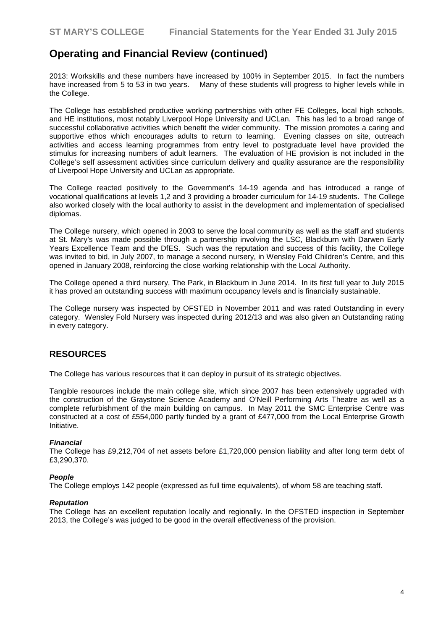2013: Workskills and these numbers have increased by 100% in September 2015. In fact the numbers have increased from 5 to 53 in two years. Many of these students will progress to higher levels while in the College.

The College has established productive working partnerships with other FE Colleges, local high schools, and HE institutions, most notably Liverpool Hope University and UCLan. This has led to a broad range of successful collaborative activities which benefit the wider community. The mission promotes a caring and supportive ethos which encourages adults to return to learning. Evening classes on site, outreach activities and access learning programmes from entry level to postgraduate level have provided the stimulus for increasing numbers of adult learners. The evaluation of HE provision is not included in the College's self assessment activities since curriculum delivery and quality assurance are the responsibility of Liverpool Hope University and UCLan as appropriate.

The College reacted positively to the Government's 14-19 agenda and has introduced a range of vocational qualifications at levels 1,2 and 3 providing a broader curriculum for 14-19 students. The College also worked closely with the local authority to assist in the development and implementation of specialised diplomas.

The College nursery, which opened in 2003 to serve the local community as well as the staff and students at St. Mary's was made possible through a partnership involving the LSC, Blackburn with Darwen Early Years Excellence Team and the DfES. Such was the reputation and success of this facility, the College was invited to bid, in July 2007, to manage a second nursery, in Wensley Fold Children's Centre, and this opened in January 2008, reinforcing the close working relationship with the Local Authority.

The College opened a third nursery, The Park, in Blackburn in June 2014. In its first full year to July 2015 it has proved an outstanding success with maximum occupancy levels and is financially sustainable.

The College nursery was inspected by OFSTED in November 2011 and was rated Outstanding in every category. Wensley Fold Nursery was inspected during 2012/13 and was also given an Outstanding rating in every category.

### **RESOURCES**

The College has various resources that it can deploy in pursuit of its strategic objectives.

Tangible resources include the main college site, which since 2007 has been extensively upgraded with the construction of the Graystone Science Academy and O'Neill Performing Arts Theatre as well as a complete refurbishment of the main building on campus. In May 2011 the SMC Enterprise Centre was constructed at a cost of £554,000 partly funded by a grant of £477,000 from the Local Enterprise Growth Initiative.

#### *Financial*

The College has £9,212,704 of net assets before £1,720,000 pension liability and after long term debt of £3,290,370.

#### *People*

The College employs 142 people (expressed as full time equivalents), of whom 58 are teaching staff.

#### *Reputation*

The College has an excellent reputation locally and regionally. In the OFSTED inspection in September 2013, the College's was judged to be good in the overall effectiveness of the provision.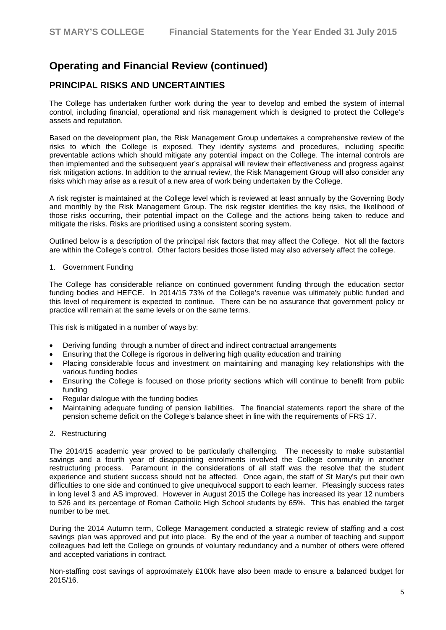### **PRINCIPAL RISKS AND UNCERTAINTIES**

The College has undertaken further work during the year to develop and embed the system of internal control, including financial, operational and risk management which is designed to protect the College's assets and reputation.

Based on the development plan, the Risk Management Group undertakes a comprehensive review of the risks to which the College is exposed. They identify systems and procedures, including specific preventable actions which should mitigate any potential impact on the College. The internal controls are then implemented and the subsequent year's appraisal will review their effectiveness and progress against risk mitigation actions. In addition to the annual review, the Risk Management Group will also consider any risks which may arise as a result of a new area of work being undertaken by the College.

A risk register is maintained at the College level which is reviewed at least annually by the Governing Body and monthly by the Risk Management Group. The risk register identifies the key risks, the likelihood of those risks occurring, their potential impact on the College and the actions being taken to reduce and mitigate the risks. Risks are prioritised using a consistent scoring system.

Outlined below is a description of the principal risk factors that may affect the College. Not all the factors are within the College's control. Other factors besides those listed may also adversely affect the college.

1. Government Funding

The College has considerable reliance on continued government funding through the education sector funding bodies and HEFCE. In 2014/15 73% of the College's revenue was ultimately public funded and this level of requirement is expected to continue. There can be no assurance that government policy or practice will remain at the same levels or on the same terms.

This risk is mitigated in a number of ways by:

- Deriving funding through a number of direct and indirect contractual arrangements
- Ensuring that the College is rigorous in delivering high quality education and training
- Placing considerable focus and investment on maintaining and managing key relationships with the various funding bodies
- Ensuring the College is focused on those priority sections which will continue to benefit from public funding
- Regular dialogue with the funding bodies
- Maintaining adequate funding of pension liabilities. The financial statements report the share of the pension scheme deficit on the College's balance sheet in line with the requirements of FRS 17.
- 2. Restructuring

The 2014/15 academic year proved to be particularly challenging. The necessity to make substantial savings and a fourth year of disappointing enrolments involved the College community in another restructuring process. Paramount in the considerations of all staff was the resolve that the student experience and student success should not be affected. Once again, the staff of St Mary's put their own difficulties to one side and continued to give unequivocal support to each learner. Pleasingly success rates in long level 3 and AS improved. However in August 2015 the College has increased its year 12 numbers to 526 and its percentage of Roman Catholic High School students by 65%. This has enabled the target number to be met.

During the 2014 Autumn term, College Management conducted a strategic review of staffing and a cost savings plan was approved and put into place. By the end of the year a number of teaching and support colleagues had left the College on grounds of voluntary redundancy and a number of others were offered and accepted variations in contract.

Non-staffing cost savings of approximately £100k have also been made to ensure a balanced budget for 2015/16.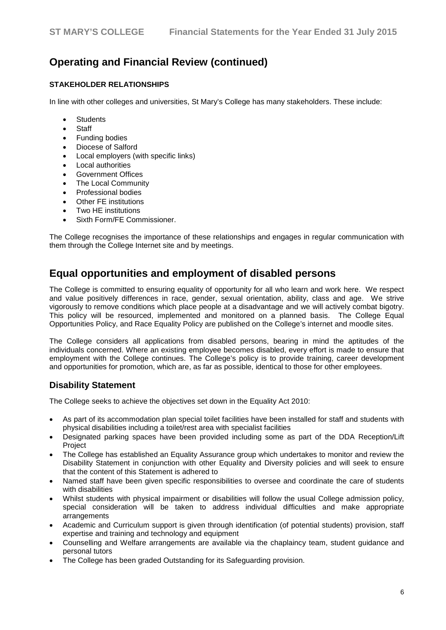### **STAKEHOLDER RELATIONSHIPS**

In line with other colleges and universities, St Mary's College has many stakeholders. These include:

- **Students**
- **Staff**
- Funding bodies
- Diocese of Salford
- Local employers (with specific links)
- Local authorities
- Government Offices
- **The Local Community**
- Professional bodies
- Other FE institutions
- Two HE institutions
- Sixth Form/FE Commissioner.

The College recognises the importance of these relationships and engages in regular communication with them through the College Internet site and by meetings.

# **Equal opportunities and employment of disabled persons**

The College is committed to ensuring equality of opportunity for all who learn and work here. We respect and value positively differences in race, gender, sexual orientation, ability, class and age. We strive vigorously to remove conditions which place people at a disadvantage and we will actively combat bigotry. This policy will be resourced, implemented and monitored on a planned basis. The College Equal Opportunities Policy, and Race Equality Policy are published on the College's internet and moodle sites.

The College considers all applications from disabled persons, bearing in mind the aptitudes of the individuals concerned. Where an existing employee becomes disabled, every effort is made to ensure that employment with the College continues. The College's policy is to provide training, career development and opportunities for promotion, which are, as far as possible, identical to those for other employees.

### **Disability Statement**

The College seeks to achieve the objectives set down in the Equality Act 2010:

- As part of its accommodation plan special toilet facilities have been installed for staff and students with physical disabilities including a toilet/rest area with specialist facilities
- Designated parking spaces have been provided including some as part of the DDA Reception/Lift Project
- The College has established an Equality Assurance group which undertakes to monitor and review the Disability Statement in conjunction with other Equality and Diversity policies and will seek to ensure that the content of this Statement is adhered to
- Named staff have been given specific responsibilities to oversee and coordinate the care of students with disabilities
- Whilst students with physical impairment or disabilities will follow the usual College admission policy, special consideration will be taken to address individual difficulties and make appropriate arrangements
- Academic and Curriculum support is given through identification (of potential students) provision, staff expertise and training and technology and equipment
- Counselling and Welfare arrangements are available via the chaplaincy team, student guidance and personal tutors
- The College has been graded Outstanding for its Safeguarding provision.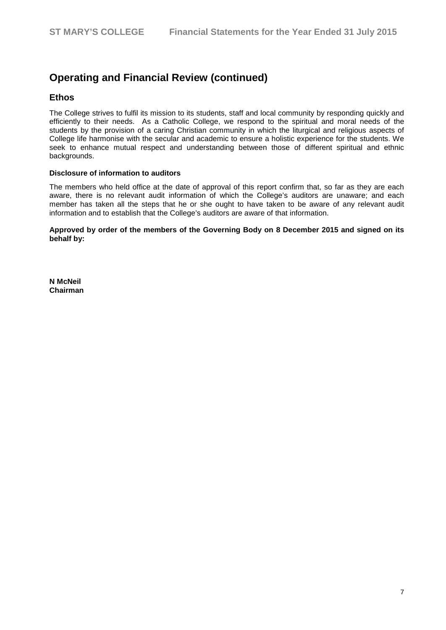### **Ethos**

The College strives to fulfil its mission to its students, staff and local community by responding quickly and efficiently to their needs. As a Catholic College, we respond to the spiritual and moral needs of the students by the provision of a caring Christian community in which the liturgical and religious aspects of College life harmonise with the secular and academic to ensure a holistic experience for the students. We seek to enhance mutual respect and understanding between those of different spiritual and ethnic backgrounds.

#### **Disclosure of information to auditors**

The members who held office at the date of approval of this report confirm that, so far as they are each aware, there is no relevant audit information of which the College's auditors are unaware; and each member has taken all the steps that he or she ought to have taken to be aware of any relevant audit information and to establish that the College's auditors are aware of that information.

**Approved by order of the members of the Governing Body on 8 December 2015 and signed on its behalf by:**

**N McNeil Chairman**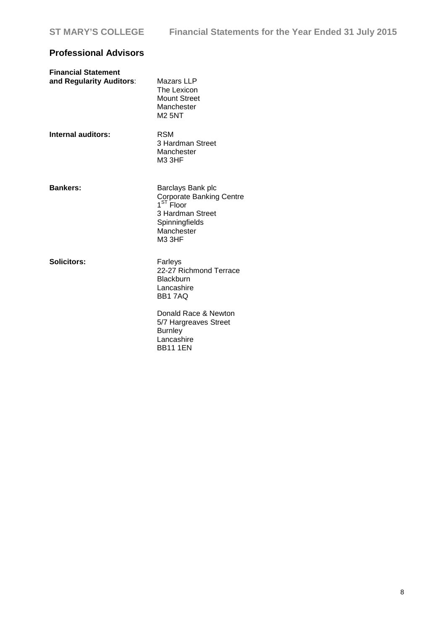# **Professional Advisors**

| <b>Financial Statement</b><br>and Regularity Auditors: | Mazars LLP<br>The Lexicon<br><b>Mount Street</b><br>Manchester<br><b>M2 5NT</b>                                                      |
|--------------------------------------------------------|--------------------------------------------------------------------------------------------------------------------------------------|
| Internal auditors:                                     | <b>RSM</b><br>3 Hardman Street<br>Manchester<br>M33HF                                                                                |
| <b>Bankers:</b>                                        | Barclays Bank plc<br>Corporate Banking Centre<br>1 <sup>ST</sup> Floor<br>3 Hardman Street<br>Spinningfields<br>Manchester<br>M3 3HF |
| <b>Solicitors:</b>                                     | Farleys<br>22-27 Richmond Terrace<br><b>Blackburn</b><br>Lancashire<br><b>BB17AQ</b>                                                 |
|                                                        | Donald Race & Newton<br>5/7 Hargreaves Street<br><b>Burnley</b><br>Lancashire<br><b>BB11 1EN</b>                                     |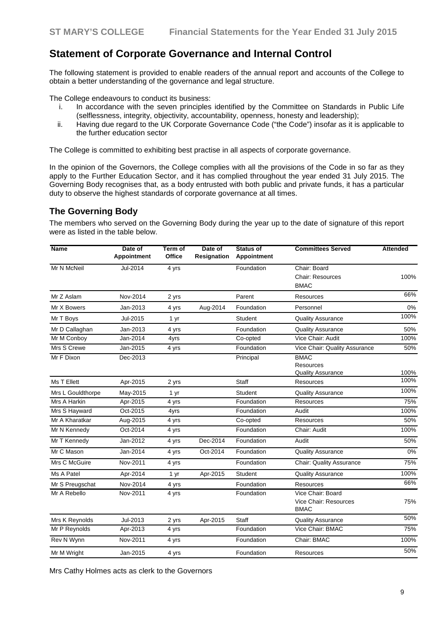# **Statement of Corporate Governance and Internal Control**

The following statement is provided to enable readers of the annual report and accounts of the College to obtain a better understanding of the governance and legal structure.

The College endeavours to conduct its business:

- i. In accordance with the seven principles identified by the Committee on Standards in Public Life (selflessness, integrity, objectivity, accountability, openness, honesty and leadership);
- ii. Having due regard to the UK Corporate Governance Code ("the Code") insofar as it is applicable to the further education sector

The College is committed to exhibiting best practise in all aspects of corporate governance.

In the opinion of the Governors, the College complies with all the provisions of the Code in so far as they apply to the Further Education Sector, and it has complied throughout the year ended 31 July 2015. The Governing Body recognises that, as a body entrusted with both public and private funds, it has a particular duty to observe the highest standards of corporate governance at all times.

### **The Governing Body**

The members who served on the Governing Body during the year up to the date of signature of this report were as listed in the table below.

| Name              | Date of<br>Appointment | Term of<br>Office | Date of<br>Resignation | Status of<br>Appointment | <b>Committees Served</b>                                  | Attended |
|-------------------|------------------------|-------------------|------------------------|--------------------------|-----------------------------------------------------------|----------|
| Mr N McNeil       | Jul-2014               | 4 yrs             |                        | Foundation               | Chair: Board<br>Chair: Resources<br><b>BMAC</b>           | 100%     |
| Mr Z Aslam        | Nov-2014               | 2 yrs             |                        | Parent                   | Resources                                                 | 66%      |
| Mr X Bowers       | Jan-2013               | 4 yrs             | Aug-2014               | Foundation               | Personnel                                                 | 0%       |
| Mr T Boys         | Jul-2015               | 1 yr              |                        | Student                  | Quality Assurance                                         | 100%     |
| Mr D Callaghan    | Jan-2013               | 4 yrs             |                        | Foundation               | Quality Assurance                                         | 50%      |
| Mr M Conboy       | Jan-2014               | 4yrs              |                        | Co-opted                 | Vice Chair: Audit                                         | 100%     |
| Mrs S Crewe       | Jan-2015               | 4 yrs             |                        | Foundation               | Vice Chair: Quality Assurance                             | 50%      |
| Mr F Dixon        | Dec-2013               |                   |                        | Principal                | <b>BMAC</b><br>Resources<br>Quality Assurance             | 100%     |
| Ms T Ellett       | Apr-2015               | 2 yrs             |                        | Staff                    | Resources                                                 | 100%     |
| Mrs L Gouldthorpe | May-2015               | 1 yr              |                        | Student                  | Quality Assurance                                         | 100%     |
| Mrs A Harkin      | Apr-2015               | 4 yrs             |                        | Foundation               | Resources                                                 | 75%      |
| Mrs S Hayward     | Oct-2015               | 4yrs              |                        | Foundation               | Audit                                                     | 100%     |
| Mr A Kharatkar    | Aug-2015               | 4 yrs             |                        | Co-opted                 | Resources                                                 | 50%      |
| Mr N Kennedy      | Oct-2014               | 4 yrs             |                        | Foundation               | Chair: Audit                                              | 100%     |
| Mr T Kennedy      | Jan-2012               | 4 yrs             | Dec-2014               | Foundation               | Audit                                                     | 50%      |
| Mr C Mason        | Jan-2014               | 4 yrs             | Oct-2014               | Foundation               | <b>Quality Assurance</b>                                  | 0%       |
| Mrs C McGuire     | Nov-2011               | 4 yrs             |                        | Foundation               | Chair: Quality Assurance                                  | 75%      |
| Ms A Patel        | Apr-2014               | 1 yr              | Apr-2015               | Student                  | Quality Assurance                                         | 100%     |
| Mr S Preugschat   | Nov-2014               | 4 yrs             |                        | Foundation               | <b>Resources</b>                                          | 66%      |
| Mr A Rebello      | Nov-2011               | 4 yrs             |                        | Foundation               | Vice Chair: Board<br>Vice Chair: Resources<br><b>BMAC</b> | 75%      |
| Mrs K Reynolds    | Jul-2013               | 2 yrs             | Apr-2015               | Staff                    | <b>Quality Assurance</b>                                  | 50%      |
| Mr P Reynolds     | Apr-2013               | 4 yrs             |                        | Foundation               | Vice Chair: BMAC                                          | 75%      |
| Rev N Wynn        | Nov-2011               | 4 yrs             |                        | Foundation               | Chair: BMAC                                               | 100%     |
| Mr M Wright       | Jan-2015               | 4 yrs             |                        | Foundation               | Resources                                                 | 50%      |

Mrs Cathy Holmes acts as clerk to the Governors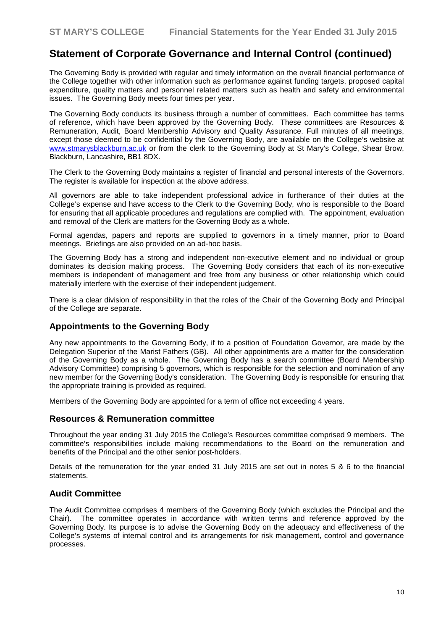The Governing Body is provided with regular and timely information on the overall financial performance of the College together with other information such as performance against funding targets, proposed capital expenditure, quality matters and personnel related matters such as health and safety and environmental issues. The Governing Body meets four times per year.

The Governing Body conducts its business through a number of committees. Each committee has terms of reference, which have been approved by the Governing Body. These committees are Resources & Remuneration, Audit, Board Membership Advisory and Quality Assurance. Full minutes of all meetings, except those deemed to be confidential by the Governing Body, are available on the College's website at [www.stmarysblackburn.ac.uk](http://www.stmarysblackburn.ac.uk/) or from the clerk to the Governing Body at St Mary's College, Shear Brow, Blackburn, Lancashire, BB1 8DX.

The Clerk to the Governing Body maintains a register of financial and personal interests of the Governors. The register is available for inspection at the above address.

All governors are able to take independent professional advice in furtherance of their duties at the College's expense and have access to the Clerk to the Governing Body, who is responsible to the Board for ensuring that all applicable procedures and regulations are complied with. The appointment, evaluation and removal of the Clerk are matters for the Governing Body as a whole.

Formal agendas, papers and reports are supplied to governors in a timely manner, prior to Board meetings. Briefings are also provided on an ad-hoc basis.

The Governing Body has a strong and independent non-executive element and no individual or group dominates its decision making process. The Governing Body considers that each of its non-executive members is independent of management and free from any business or other relationship which could materially interfere with the exercise of their independent judgement.

There is a clear division of responsibility in that the roles of the Chair of the Governing Body and Principal of the College are separate.

#### **Appointments to the Governing Body**

Any new appointments to the Governing Body, if to a position of Foundation Governor, are made by the Delegation Superior of the Marist Fathers (GB). All other appointments are a matter for the consideration of the Governing Body as a whole. The Governing Body has a search committee (Board Membership Advisory Committee) comprising 5 governors, which is responsible for the selection and nomination of any new member for the Governing Body's consideration. The Governing Body is responsible for ensuring that the appropriate training is provided as required.

Members of the Governing Body are appointed for a term of office not exceeding 4 years.

#### **Resources & Remuneration committee**

Throughout the year ending 31 July 2015 the College's Resources committee comprised 9 members. The committee's responsibilities include making recommendations to the Board on the remuneration and benefits of the Principal and the other senior post-holders.

Details of the remuneration for the year ended 31 July 2015 are set out in notes 5 & 6 to the financial statements.

#### **Audit Committee**

The Audit Committee comprises 4 members of the Governing Body (which excludes the Principal and the Chair). The committee operates in accordance with written terms and reference approved by the Governing Body. Its purpose is to advise the Governing Body on the adequacy and effectiveness of the College's systems of internal control and its arrangements for risk management, control and governance processes.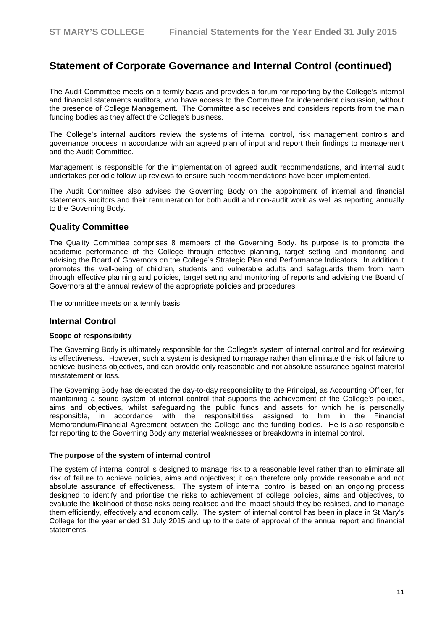The Audit Committee meets on a termly basis and provides a forum for reporting by the College's internal and financial statements auditors, who have access to the Committee for independent discussion, without the presence of College Management. The Committee also receives and considers reports from the main funding bodies as they affect the College's business.

The College's internal auditors review the systems of internal control, risk management controls and governance process in accordance with an agreed plan of input and report their findings to management and the Audit Committee.

Management is responsible for the implementation of agreed audit recommendations, and internal audit undertakes periodic follow-up reviews to ensure such recommendations have been implemented.

The Audit Committee also advises the Governing Body on the appointment of internal and financial statements auditors and their remuneration for both audit and non-audit work as well as reporting annually to the Governing Body.

#### **Quality Committee**

The Quality Committee comprises 8 members of the Governing Body. Its purpose is to promote the academic performance of the College through effective planning, target setting and monitoring and advising the Board of Governors on the College's Strategic Plan and Performance Indicators. In addition it promotes the well-being of children, students and vulnerable adults and safeguards them from harm through effective planning and policies, target setting and monitoring of reports and advising the Board of Governors at the annual review of the appropriate policies and procedures.

The committee meets on a termly basis.

#### **Internal Control**

#### **Scope of responsibility**

The Governing Body is ultimately responsible for the College's system of internal control and for reviewing its effectiveness. However, such a system is designed to manage rather than eliminate the risk of failure to achieve business objectives, and can provide only reasonable and not absolute assurance against material misstatement or loss.

The Governing Body has delegated the day-to-day responsibility to the Principal, as Accounting Officer, for maintaining a sound system of internal control that supports the achievement of the College's policies, aims and objectives, whilst safeguarding the public funds and assets for which he is personally responsible, in accordance with the responsibilities assigned to him in the Financial responsible, in accordance with the responsibilities assigned to him in the Financial Memorandum/Financial Agreement between the College and the funding bodies. He is also responsible for reporting to the Governing Body any material weaknesses or breakdowns in internal control.

#### **The purpose of the system of internal control**

The system of internal control is designed to manage risk to a reasonable level rather than to eliminate all risk of failure to achieve policies, aims and objectives; it can therefore only provide reasonable and not absolute assurance of effectiveness. The system of internal control is based on an ongoing process designed to identify and prioritise the risks to achievement of college policies, aims and objectives, to evaluate the likelihood of those risks being realised and the impact should they be realised, and to manage them efficiently, effectively and economically. The system of internal control has been in place in St Mary's College for the year ended 31 July 2015 and up to the date of approval of the annual report and financial statements.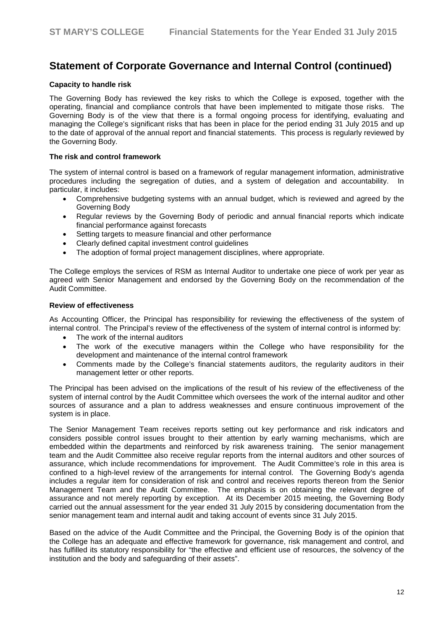#### **Capacity to handle risk**

The Governing Body has reviewed the key risks to which the College is exposed, together with the operating, financial and compliance controls that have been implemented to mitigate those risks. The Governing Body is of the view that there is a formal ongoing process for identifying, evaluating and managing the College's significant risks that has been in place for the period ending 31 July 2015 and up to the date of approval of the annual report and financial statements. This process is regularly reviewed by the Governing Body.

#### **The risk and control framework**

The system of internal control is based on a framework of regular management information, administrative procedures including the segregation of duties, and a system of delegation and accountability. In particular, it includes:

- Comprehensive budgeting systems with an annual budget, which is reviewed and agreed by the Governing Body
- Regular reviews by the Governing Body of periodic and annual financial reports which indicate financial performance against forecasts
- Setting targets to measure financial and other performance
- Clearly defined capital investment control guidelines
- The adoption of formal project management disciplines, where appropriate.

The College employs the services of RSM as Internal Auditor to undertake one piece of work per year as agreed with Senior Management and endorsed by the Governing Body on the recommendation of the Audit Committee.

#### **Review of effectiveness**

As Accounting Officer, the Principal has responsibility for reviewing the effectiveness of the system of internal control. The Principal's review of the effectiveness of the system of internal control is informed by:

- The work of the internal auditors
- The work of the executive managers within the College who have responsibility for the development and maintenance of the internal control framework
- Comments made by the College's financial statements auditors, the regularity auditors in their management letter or other reports.

The Principal has been advised on the implications of the result of his review of the effectiveness of the system of internal control by the Audit Committee which oversees the work of the internal auditor and other sources of assurance and a plan to address weaknesses and ensure continuous improvement of the system is in place.

The Senior Management Team receives reports setting out key performance and risk indicators and considers possible control issues brought to their attention by early warning mechanisms, which are embedded within the departments and reinforced by risk awareness training. The senior management team and the Audit Committee also receive regular reports from the internal auditors and other sources of assurance, which include recommendations for improvement. The Audit Committee's role in this area is confined to a high-level review of the arrangements for internal control. The Governing Body's agenda includes a regular item for consideration of risk and control and receives reports thereon from the Senior Management Team and the Audit Committee. The emphasis is on obtaining the relevant degree of assurance and not merely reporting by exception. At its December 2015 meeting, the Governing Body carried out the annual assessment for the year ended 31 July 2015 by considering documentation from the senior management team and internal audit and taking account of events since 31 July 2015.

Based on the advice of the Audit Committee and the Principal, the Governing Body is of the opinion that the College has an adequate and effective framework for governance, risk management and control, and has fulfilled its statutory responsibility for "the effective and efficient use of resources, the solvency of the institution and the body and safeguarding of their assets".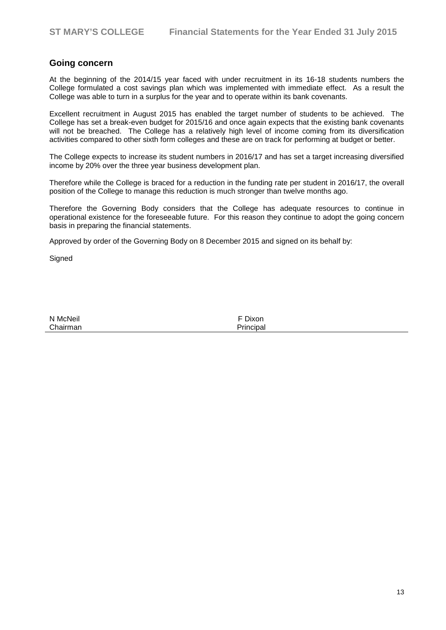### **Going concern**

At the beginning of the 2014/15 year faced with under recruitment in its 16-18 students numbers the College formulated a cost savings plan which was implemented with immediate effect. As a result the College was able to turn in a surplus for the year and to operate within its bank covenants.

Excellent recruitment in August 2015 has enabled the target number of students to be achieved. The College has set a break-even budget for 2015/16 and once again expects that the existing bank covenants will not be breached. The College has a relatively high level of income coming from its diversification activities compared to other sixth form colleges and these are on track for performing at budget or better.

The College expects to increase its student numbers in 2016/17 and has set a target increasing diversified income by 20% over the three year business development plan.

Therefore while the College is braced for a reduction in the funding rate per student in 2016/17, the overall position of the College to manage this reduction is much stronger than twelve months ago.

Therefore the Governing Body considers that the College has adequate resources to continue in operational existence for the foreseeable future. For this reason they continue to adopt the going concern basis in preparing the financial statements.

Approved by order of the Governing Body on 8 December 2015 and signed on its behalf by:

**Signed** 

| N McNeil | F Dixon   |
|----------|-----------|
| Chairman | Principal |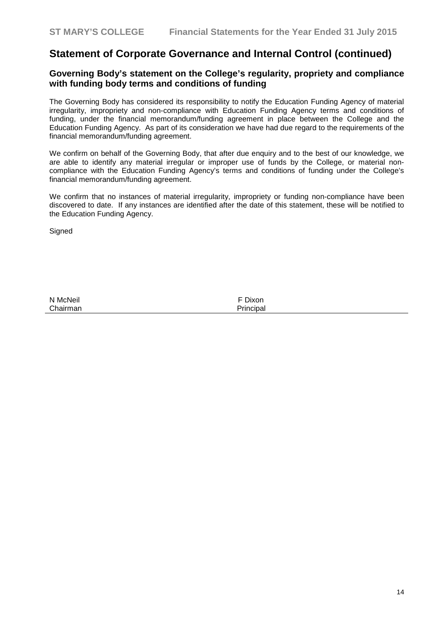### **Governing Body's statement on the College's regularity, propriety and compliance with funding body terms and conditions of funding**

The Governing Body has considered its responsibility to notify the Education Funding Agency of material irregularity, impropriety and non-compliance with Education Funding Agency terms and conditions of funding, under the financial memorandum/funding agreement in place between the College and the Education Funding Agency. As part of its consideration we have had due regard to the requirements of the financial memorandum/funding agreement.

We confirm on behalf of the Governing Body, that after due enquiry and to the best of our knowledge, we are able to identify any material irregular or improper use of funds by the College, or material noncompliance with the Education Funding Agency's terms and conditions of funding under the College's financial memorandum/funding agreement.

We confirm that no instances of material irregularity, impropriety or funding non-compliance have been discovered to date. If any instances are identified after the date of this statement, these will be notified to the Education Funding Agency.

**Signed** 

N McNeil<br>Chairman **Example 2018** The Chairman<br>Principal Chairman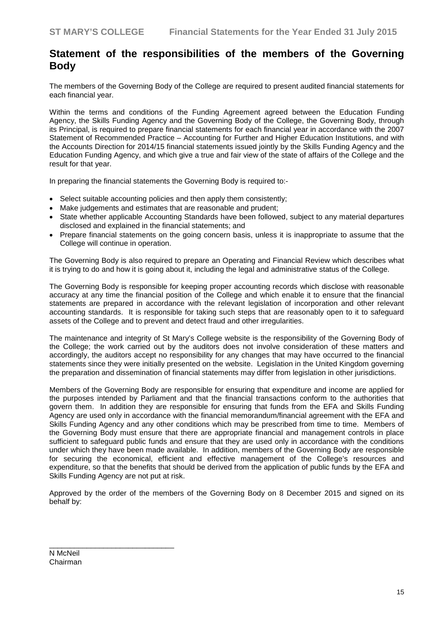# **Statement of the responsibilities of the members of the Governing Body**

The members of the Governing Body of the College are required to present audited financial statements for each financial year.

Within the terms and conditions of the Funding Agreement agreed between the Education Funding Agency, the Skills Funding Agency and the Governing Body of the College, the Governing Body, through its Principal, is required to prepare financial statements for each financial year in accordance with the 2007 Statement of Recommended Practice – Accounting for Further and Higher Education Institutions, and with the Accounts Direction for 2014/15 financial statements issued jointly by the Skills Funding Agency and the Education Funding Agency, and which give a true and fair view of the state of affairs of the College and the result for that year.

In preparing the financial statements the Governing Body is required to:-

- Select suitable accounting policies and then apply them consistently;
- Make judgements and estimates that are reasonable and prudent;
- State whether applicable Accounting Standards have been followed, subject to any material departures disclosed and explained in the financial statements; and
- Prepare financial statements on the going concern basis, unless it is inappropriate to assume that the College will continue in operation.

The Governing Body is also required to prepare an Operating and Financial Review which describes what it is trying to do and how it is going about it, including the legal and administrative status of the College.

The Governing Body is responsible for keeping proper accounting records which disclose with reasonable accuracy at any time the financial position of the College and which enable it to ensure that the financial statements are prepared in accordance with the relevant legislation of incorporation and other relevant accounting standards. It is responsible for taking such steps that are reasonably open to it to safeguard assets of the College and to prevent and detect fraud and other irregularities.

The maintenance and integrity of St Mary's College website is the responsibility of the Governing Body of the College; the work carried out by the auditors does not involve consideration of these matters and accordingly, the auditors accept no responsibility for any changes that may have occurred to the financial statements since they were initially presented on the website. Legislation in the United Kingdom governing the preparation and dissemination of financial statements may differ from legislation in other jurisdictions.

Members of the Governing Body are responsible for ensuring that expenditure and income are applied for the purposes intended by Parliament and that the financial transactions conform to the authorities that govern them. In addition they are responsible for ensuring that funds from the EFA and Skills Funding Agency are used only in accordance with the financial memorandum/financial agreement with the EFA and Skills Funding Agency and any other conditions which may be prescribed from time to time. Members of the Governing Body must ensure that there are appropriate financial and management controls in place sufficient to safeguard public funds and ensure that they are used only in accordance with the conditions under which they have been made available. In addition, members of the Governing Body are responsible for securing the economical, efficient and effective management of the College's resources and expenditure, so that the benefits that should be derived from the application of public funds by the EFA and Skills Funding Agency are not put at risk.

Approved by the order of the members of the Governing Body on 8 December 2015 and signed on its behalf by:

N McNeil Chairman

\_\_\_\_\_\_\_\_\_\_\_\_\_\_\_\_\_\_\_\_\_\_\_\_\_\_\_\_\_\_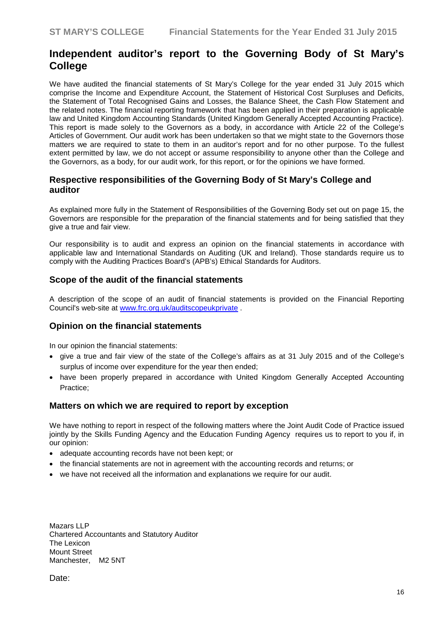# **Independent auditor's report to the Governing Body of St Mary's College**

We have audited the financial statements of St Mary's College for the year ended 31 July 2015 which comprise the Income and Expenditure Account, the Statement of Historical Cost Surpluses and Deficits, the Statement of Total Recognised Gains and Losses, the Balance Sheet, the Cash Flow Statement and the related notes. The financial reporting framework that has been applied in their preparation is applicable law and United Kingdom Accounting Standards (United Kingdom Generally Accepted Accounting Practice). This report is made solely to the Governors as a body, in accordance with Article 22 of the College's Articles of Government. Our audit work has been undertaken so that we might state to the Governors those matters we are required to state to them in an auditor's report and for no other purpose. To the fullest extent permitted by law, we do not accept or assume responsibility to anyone other than the College and the Governors, as a body, for our audit work, for this report, or for the opinions we have formed.

### **Respective responsibilities of the Governing Body of St Mary's College and auditor**

As explained more fully in the Statement of Responsibilities of the Governing Body set out on page 15, the Governors are responsible for the preparation of the financial statements and for being satisfied that they give a true and fair view.

Our responsibility is to audit and express an opinion on the financial statements in accordance with applicable law and International Standards on Auditing (UK and Ireland). Those standards require us to comply with the Auditing Practices Board's (APB's) Ethical Standards for Auditors.

### **Scope of the audit of the financial statements**

A description of the scope of an audit of financial statements is provided on the Financial Reporting Council's web-site at [www.frc.org.uk/auditscopeukprivate](http://www.frc.org.uk/auditscopeukprivate) .

#### **Opinion on the financial statements**

In our opinion the financial statements:

- give a true and fair view of the state of the College's affairs as at 31 July 2015 and of the College's surplus of income over expenditure for the year then ended;
- have been properly prepared in accordance with United Kingdom Generally Accepted Accounting Practice;

#### **Matters on which we are required to report by exception**

We have nothing to report in respect of the following matters where the Joint Audit Code of Practice issued jointly by the Skills Funding Agency and the Education Funding Agency requires us to report to you if, in our opinion:

- adequate accounting records have not been kept; or
- the financial statements are not in agreement with the accounting records and returns; or
- we have not received all the information and explanations we require for our audit.

Mazars LLP Chartered Accountants and Statutory Auditor The Lexicon Mount Street Manchester, M2 5NT

Date: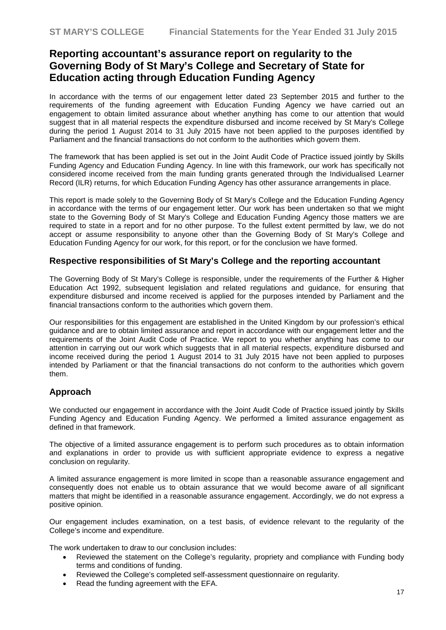# **Reporting accountant's assurance report on regularity to the Governing Body of St Mary's College and Secretary of State for Education acting through Education Funding Agency**

In accordance with the terms of our engagement letter dated 23 September 2015 and further to the requirements of the funding agreement with Education Funding Agency we have carried out an engagement to obtain limited assurance about whether anything has come to our attention that would suggest that in all material respects the expenditure disbursed and income received by St Mary's College during the period 1 August 2014 to 31 July 2015 have not been applied to the purposes identified by Parliament and the financial transactions do not conform to the authorities which govern them.

The framework that has been applied is set out in the Joint Audit Code of Practice issued jointly by Skills Funding Agency and Education Funding Agency. In line with this framework, our work has specifically not considered income received from the main funding grants generated through the Individualised Learner Record (ILR) returns, for which Education Funding Agency has other assurance arrangements in place.

This report is made solely to the Governing Body of St Mary's College and the Education Funding Agency in accordance with the terms of our engagement letter. Our work has been undertaken so that we might state to the Governing Body of St Mary's College and Education Funding Agency those matters we are required to state in a report and for no other purpose. To the fullest extent permitted by law, we do not accept or assume responsibility to anyone other than the Governing Body of St Mary's College and Education Funding Agency for our work, for this report, or for the conclusion we have formed.

#### **Respective responsibilities of St Mary's College and the reporting accountant**

The Governing Body of St Mary's College is responsible, under the requirements of the Further & Higher Education Act 1992, subsequent legislation and related regulations and guidance, for ensuring that expenditure disbursed and income received is applied for the purposes intended by Parliament and the financial transactions conform to the authorities which govern them.

Our responsibilities for this engagement are established in the United Kingdom by our profession's ethical guidance and are to obtain limited assurance and report in accordance with our engagement letter and the requirements of the Joint Audit Code of Practice. We report to you whether anything has come to our attention in carrying out our work which suggests that in all material respects, expenditure disbursed and income received during the period 1 August 2014 to 31 July 2015 have not been applied to purposes intended by Parliament or that the financial transactions do not conform to the authorities which govern them.

### **Approach**

We conducted our engagement in accordance with the Joint Audit Code of Practice issued jointly by Skills Funding Agency and Education Funding Agency. We performed a limited assurance engagement as defined in that framework.

The objective of a limited assurance engagement is to perform such procedures as to obtain information and explanations in order to provide us with sufficient appropriate evidence to express a negative conclusion on regularity.

A limited assurance engagement is more limited in scope than a reasonable assurance engagement and consequently does not enable us to obtain assurance that we would become aware of all significant matters that might be identified in a reasonable assurance engagement. Accordingly, we do not express a positive opinion.

Our engagement includes examination, on a test basis, of evidence relevant to the regularity of the College's income and expenditure.

The work undertaken to draw to our conclusion includes:

- Reviewed the statement on the College's regularity, propriety and compliance with Funding body terms and conditions of funding.
- Reviewed the College's completed self-assessment questionnaire on regularity.
- Read the funding agreement with the EFA.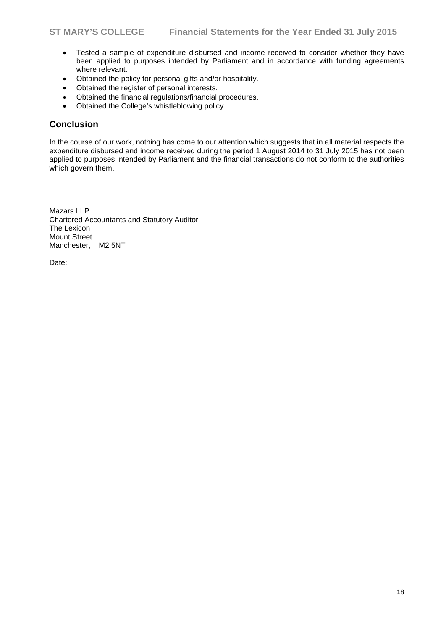- Tested a sample of expenditure disbursed and income received to consider whether they have been applied to purposes intended by Parliament and in accordance with funding agreements where relevant.
- Obtained the policy for personal gifts and/or hospitality.
- Obtained the register of personal interests.
- Obtained the financial regulations/financial procedures.
- Obtained the College's whistleblowing policy.

### **Conclusion**

In the course of our work, nothing has come to our attention which suggests that in all material respects the expenditure disbursed and income received during the period 1 August 2014 to 31 July 2015 has not been applied to purposes intended by Parliament and the financial transactions do not conform to the authorities which govern them.

Mazars LLP Chartered Accountants and Statutory Auditor The Lexicon Mount Street Manchester, M2 5NT

Date: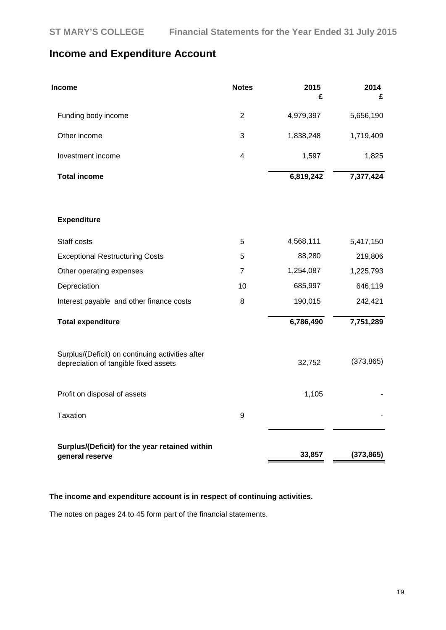# **Income and Expenditure Account**

| Income                                                                                    | <b>Notes</b>            | 2015<br>£ | 2014<br>£  |
|-------------------------------------------------------------------------------------------|-------------------------|-----------|------------|
| Funding body income                                                                       | $\overline{2}$          | 4,979,397 | 5,656,190  |
| Other income                                                                              | 3                       | 1,838,248 | 1,719,409  |
| Investment income                                                                         | $\overline{\mathbf{4}}$ | 1,597     | 1,825      |
| <b>Total income</b>                                                                       |                         | 6,819,242 | 7,377,424  |
| <b>Expenditure</b>                                                                        |                         |           |            |
| Staff costs                                                                               | 5                       | 4,568,111 | 5,417,150  |
| <b>Exceptional Restructuring Costs</b>                                                    | 5                       | 88,280    | 219,806    |
| Other operating expenses                                                                  | $\overline{7}$          | 1,254,087 | 1,225,793  |
| Depreciation                                                                              | 10                      | 685,997   | 646,119    |
| Interest payable and other finance costs                                                  | 8                       | 190,015   | 242,421    |
| <b>Total expenditure</b>                                                                  |                         | 6,786,490 | 7,751,289  |
| Surplus/(Deficit) on continuing activities after<br>depreciation of tangible fixed assets |                         | 32,752    | (373, 865) |
| Profit on disposal of assets                                                              |                         | 1,105     |            |
| Taxation                                                                                  | 9                       |           |            |
| Surplus/(Deficit) for the year retained within<br>general reserve                         |                         | 33,857    | (373, 865) |

### **The income and expenditure account is in respect of continuing activities.**

The notes on pages 24 to 45 form part of the financial statements.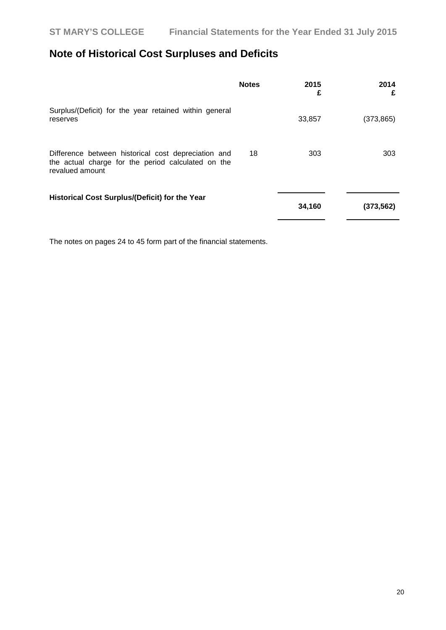# **Note of Historical Cost Surpluses and Deficits**

|                                                                                                                              | <b>Notes</b> | 2015<br>£ | 2014<br>£  |
|------------------------------------------------------------------------------------------------------------------------------|--------------|-----------|------------|
| Surplus/(Deficit) for the year retained within general<br>reserves                                                           |              | 33,857    | (373, 865) |
| Difference between historical cost depreciation and<br>the actual charge for the period calculated on the<br>revalued amount | 18           | 303       | 303        |
| Historical Cost Surplus/(Deficit) for the Year                                                                               |              | 34,160    | (373, 562) |

The notes on pages 24 to 45 form part of the financial statements.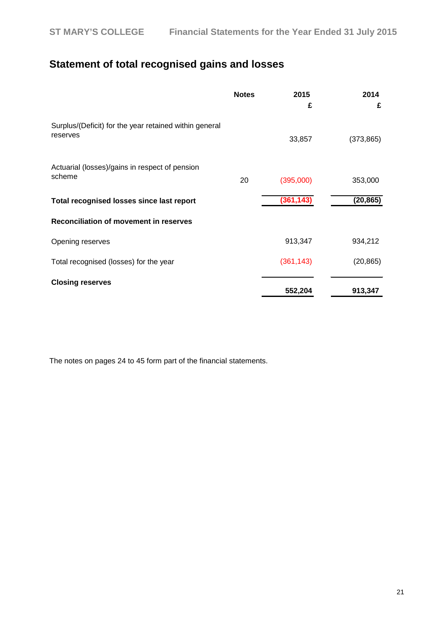# **Statement of total recognised gains and losses**

|                                                                    | <b>Notes</b> | 2015<br>£  | 2014<br>£  |
|--------------------------------------------------------------------|--------------|------------|------------|
| Surplus/(Deficit) for the year retained within general<br>reserves |              | 33,857     | (373, 865) |
| Actuarial (losses)/gains in respect of pension<br>scheme           | 20           | (395,000)  | 353,000    |
| Total recognised losses since last report                          |              | (361, 143) | (20, 865)  |
| Reconciliation of movement in reserves                             |              |            |            |
| Opening reserves                                                   |              | 913,347    | 934,212    |
| Total recognised (losses) for the year                             |              | (361, 143) | (20, 865)  |
| <b>Closing reserves</b>                                            |              | 552,204    | 913,347    |

The notes on pages 24 to 45 form part of the financial statements.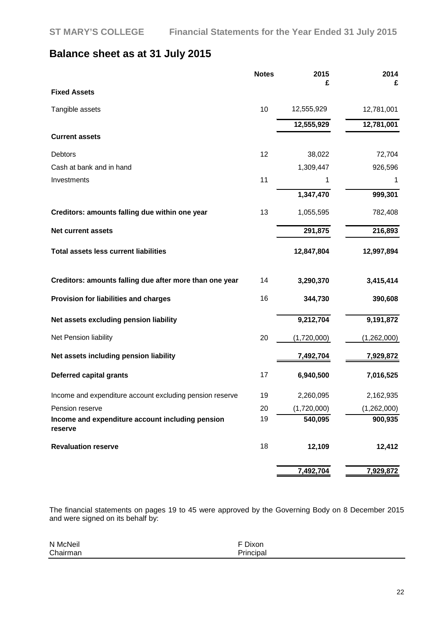# **Balance sheet as at 31 July 2015**

|                                                             | <b>Notes</b> | 2015<br>£   | 2014<br>£   |
|-------------------------------------------------------------|--------------|-------------|-------------|
| <b>Fixed Assets</b>                                         |              |             |             |
| Tangible assets                                             | 10           | 12,555,929  | 12,781,001  |
|                                                             |              | 12,555,929  | 12,781,001  |
| <b>Current assets</b>                                       |              |             |             |
| Debtors                                                     | 12           | 38,022      | 72,704      |
| Cash at bank and in hand                                    |              | 1,309,447   | 926,596     |
| Investments                                                 | 11           | 1           | 1           |
|                                                             |              | 1,347,470   | 999,301     |
| Creditors: amounts falling due within one year              | 13           | 1,055,595   | 782,408     |
| <b>Net current assets</b>                                   |              | 291,875     | 216,893     |
| <b>Total assets less current liabilities</b>                |              | 12,847,804  | 12,997,894  |
| Creditors: amounts falling due after more than one year     | 14           | 3,290,370   | 3,415,414   |
| Provision for liabilities and charges                       | 16           | 344,730     | 390,608     |
| Net assets excluding pension liability                      |              | 9,212,704   | 9,191,872   |
| Net Pension liability                                       | 20           | (1,720,000) | (1,262,000) |
| Net assets including pension liability                      |              | 7,492,704   | 7,929,872   |
| <b>Deferred capital grants</b>                              | 17           | 6,940,500   | 7,016,525   |
| Income and expenditure account excluding pension reserve    | 19           | 2,260,095   | 2,162,935   |
| Pension reserve                                             | 20           | (1,720,000) | (1,262,000) |
| Income and expenditure account including pension<br>reserve | 19           | 540,095     | 900,935     |
| <b>Revaluation reserve</b>                                  | 18           | 12,109      | 12,412      |
|                                                             |              | 7,492,704   | 7,929,872   |

The financial statements on pages 19 to 45 were approved by the Governing Body on 8 December 2015 and were signed on its behalf by:

| N McNeil | F Dixon   |
|----------|-----------|
| Chairman | Principal |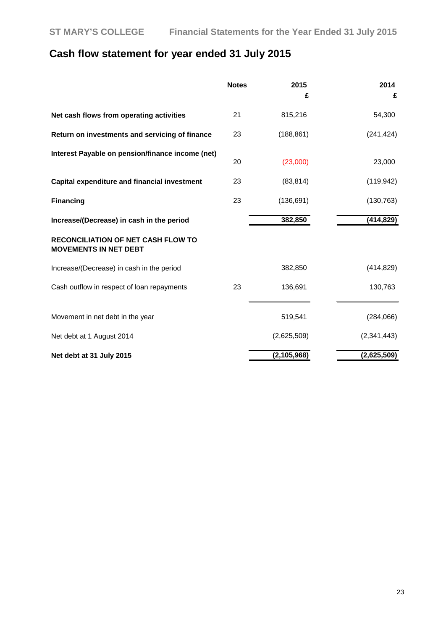# **Cash flow statement for year ended 31 July 2015**

|                                                                           | <b>Notes</b> | 2015<br>£     | 2014<br>£   |
|---------------------------------------------------------------------------|--------------|---------------|-------------|
| Net cash flows from operating activities                                  | 21           | 815,216       | 54,300      |
| Return on investments and servicing of finance                            | 23           | (188, 861)    | (241, 424)  |
| Interest Payable on pension/finance income (net)                          | 20           | (23,000)      | 23,000      |
| Capital expenditure and financial investment                              | 23           | (83, 814)     | (119, 942)  |
| <b>Financing</b>                                                          | 23           | (136, 691)    | (130, 763)  |
| Increase/(Decrease) in cash in the period                                 |              | 382,850       | (414, 829)  |
| <b>RECONCILIATION OF NET CASH FLOW TO</b><br><b>MOVEMENTS IN NET DEBT</b> |              |               |             |
| Increase/(Decrease) in cash in the period                                 |              | 382,850       | (414, 829)  |
| Cash outflow in respect of loan repayments                                | 23           | 136,691       | 130,763     |
| Movement in net debt in the year                                          |              | 519,541       | (284,066)   |
| Net debt at 1 August 2014                                                 |              | (2,625,509)   | (2,341,443) |
| Net debt at 31 July 2015                                                  |              | (2, 105, 968) | (2,625,509) |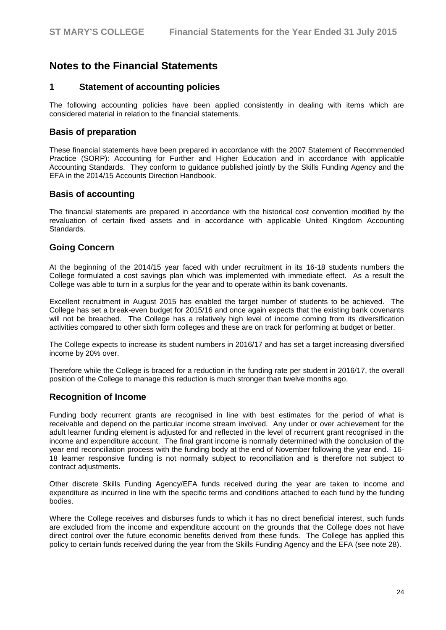# **Notes to the Financial Statements**

### **1 Statement of accounting policies**

The following accounting policies have been applied consistently in dealing with items which are considered material in relation to the financial statements.

#### **Basis of preparation**

These financial statements have been prepared in accordance with the 2007 Statement of Recommended Practice (SORP): Accounting for Further and Higher Education and in accordance with applicable Accounting Standards. They conform to guidance published jointly by the Skills Funding Agency and the EFA in the 2014/15 Accounts Direction Handbook.

#### **Basis of accounting**

The financial statements are prepared in accordance with the historical cost convention modified by the revaluation of certain fixed assets and in accordance with applicable United Kingdom Accounting Standards.

### **Going Concern**

At the beginning of the 2014/15 year faced with under recruitment in its 16-18 students numbers the College formulated a cost savings plan which was implemented with immediate effect. As a result the College was able to turn in a surplus for the year and to operate within its bank covenants.

Excellent recruitment in August 2015 has enabled the target number of students to be achieved. The College has set a break-even budget for 2015/16 and once again expects that the existing bank covenants will not be breached. The College has a relatively high level of income coming from its diversification activities compared to other sixth form colleges and these are on track for performing at budget or better.

The College expects to increase its student numbers in 2016/17 and has set a target increasing diversified income by 20% over.

Therefore while the College is braced for a reduction in the funding rate per student in 2016/17, the overall position of the College to manage this reduction is much stronger than twelve months ago.

### **Recognition of Income**

Funding body recurrent grants are recognised in line with best estimates for the period of what is receivable and depend on the particular income stream involved. Any under or over achievement for the adult learner funding element is adjusted for and reflected in the level of recurrent grant recognised in the income and expenditure account. The final grant income is normally determined with the conclusion of the year end reconciliation process with the funding body at the end of November following the year end. 16- 18 learner responsive funding is not normally subject to reconciliation and is therefore not subject to contract adjustments.

Other discrete Skills Funding Agency/EFA funds received during the year are taken to income and expenditure as incurred in line with the specific terms and conditions attached to each fund by the funding bodies.

Where the College receives and disburses funds to which it has no direct beneficial interest, such funds are excluded from the income and expenditure account on the grounds that the College does not have direct control over the future economic benefits derived from these funds. The College has applied this policy to certain funds received during the year from the Skills Funding Agency and the EFA (see note 28).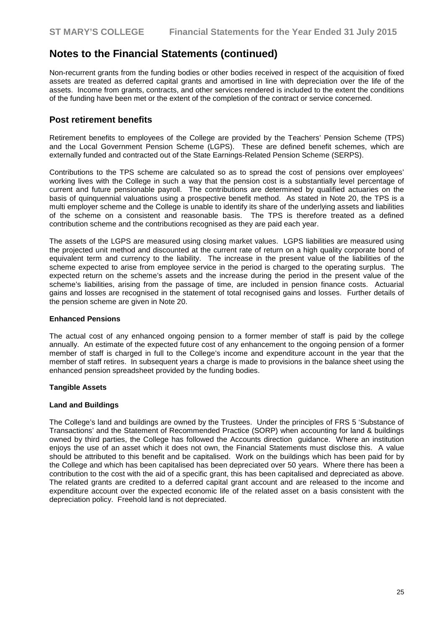Non-recurrent grants from the funding bodies or other bodies received in respect of the acquisition of fixed assets are treated as deferred capital grants and amortised in line with depreciation over the life of the assets. Income from grants, contracts, and other services rendered is included to the extent the conditions of the funding have been met or the extent of the completion of the contract or service concerned.

### **Post retirement benefits**

Retirement benefits to employees of the College are provided by the Teachers' Pension Scheme (TPS) and the Local Government Pension Scheme (LGPS). These are defined benefit schemes, which are externally funded and contracted out of the State Earnings-Related Pension Scheme (SERPS).

Contributions to the TPS scheme are calculated so as to spread the cost of pensions over employees' working lives with the College in such a way that the pension cost is a substantially level percentage of current and future pensionable payroll. The contributions are determined by qualified actuaries on the basis of quinquennial valuations using a prospective benefit method. As stated in Note 20, the TPS is a multi employer scheme and the College is unable to identify its share of the underlying assets and liabilities of the scheme on a consistent and reasonable basis. The TPS is therefore treated as a defined contribution scheme and the contributions recognised as they are paid each year.

The assets of the LGPS are measured using closing market values. LGPS liabilities are measured using the projected unit method and discounted at the current rate of return on a high quality corporate bond of equivalent term and currency to the liability. The increase in the present value of the liabilities of the scheme expected to arise from employee service in the period is charged to the operating surplus. The expected return on the scheme's assets and the increase during the period in the present value of the scheme's liabilities, arising from the passage of time, are included in pension finance costs. Actuarial gains and losses are recognised in the statement of total recognised gains and losses. Further details of the pension scheme are given in Note 20.

#### **Enhanced Pensions**

The actual cost of any enhanced ongoing pension to a former member of staff is paid by the college annually. An estimate of the expected future cost of any enhancement to the ongoing pension of a former member of staff is charged in full to the College's income and expenditure account in the year that the member of staff retires. In subsequent years a charge is made to provisions in the balance sheet using the enhanced pension spreadsheet provided by the funding bodies.

#### **Tangible Assets**

#### **Land and Buildings**

The College's land and buildings are owned by the Trustees. Under the principles of FRS 5 'Substance of Transactions' and the Statement of Recommended Practice (SORP) when accounting for land & buildings owned by third parties, the College has followed the Accounts direction guidance. Where an institution enjoys the use of an asset which it does not own, the Financial Statements must disclose this. A value should be attributed to this benefit and be capitalised. Work on the buildings which has been paid for by the College and which has been capitalised has been depreciated over 50 years. Where there has been a contribution to the cost with the aid of a specific grant, this has been capitalised and depreciated as above. The related grants are credited to a deferred capital grant account and are released to the income and expenditure account over the expected economic life of the related asset on a basis consistent with the depreciation policy. Freehold land is not depreciated.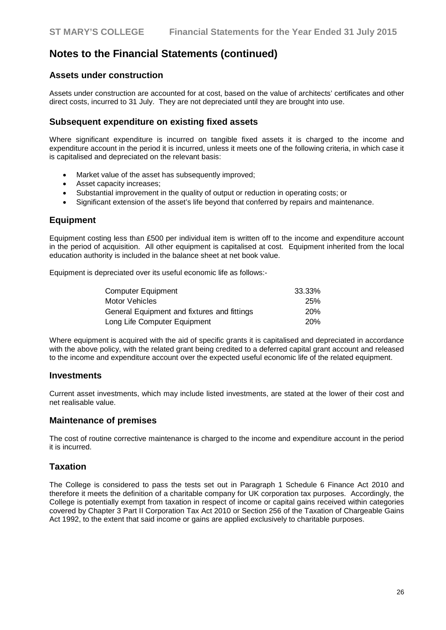### **Assets under construction**

Assets under construction are accounted for at cost, based on the value of architects' certificates and other direct costs, incurred to 31 July. They are not depreciated until they are brought into use.

### **Subsequent expenditure on existing fixed assets**

Where significant expenditure is incurred on tangible fixed assets it is charged to the income and expenditure account in the period it is incurred, unless it meets one of the following criteria, in which case it is capitalised and depreciated on the relevant basis:

- Market value of the asset has subsequently improved;
- Asset capacity increases;
- Substantial improvement in the quality of output or reduction in operating costs; or
- Significant extension of the asset's life beyond that conferred by repairs and maintenance.

### **Equipment**

Equipment costing less than £500 per individual item is written off to the income and expenditure account in the period of acquisition. All other equipment is capitalised at cost. Equipment inherited from the local education authority is included in the balance sheet at net book value.

Equipment is depreciated over its useful economic life as follows:-

| <b>Computer Equipment</b>                   | 33.33%     |
|---------------------------------------------|------------|
| Motor Vehicles                              | 25%        |
| General Equipment and fixtures and fittings | <b>20%</b> |
| Long Life Computer Equipment                | <b>20%</b> |

Where equipment is acquired with the aid of specific grants it is capitalised and depreciated in accordance with the above policy, with the related grant being credited to a deferred capital grant account and released to the income and expenditure account over the expected useful economic life of the related equipment.

#### **Investments**

Current asset investments, which may include listed investments, are stated at the lower of their cost and net realisable value.

#### **Maintenance of premises**

The cost of routine corrective maintenance is charged to the income and expenditure account in the period it is incurred.

### **Taxation**

The College is considered to pass the tests set out in Paragraph 1 Schedule 6 Finance Act 2010 and therefore it meets the definition of a charitable company for UK corporation tax purposes. Accordingly, the College is potentially exempt from taxation in respect of income or capital gains received within categories covered by Chapter 3 Part II Corporation Tax Act 2010 or Section 256 of the Taxation of Chargeable Gains Act 1992, to the extent that said income or gains are applied exclusively to charitable purposes.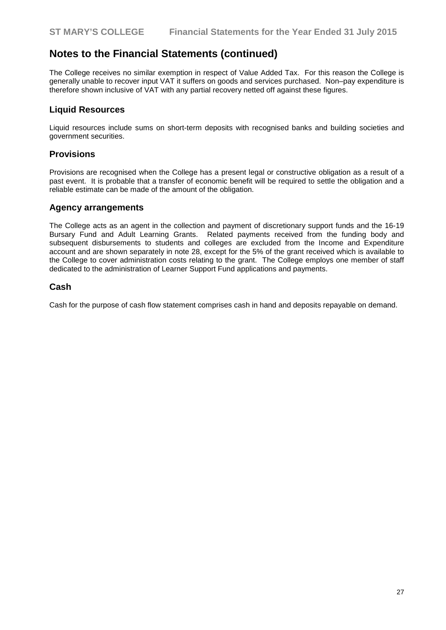The College receives no similar exemption in respect of Value Added Tax. For this reason the College is generally unable to recover input VAT it suffers on goods and services purchased. Non–pay expenditure is therefore shown inclusive of VAT with any partial recovery netted off against these figures.

### **Liquid Resources**

Liquid resources include sums on short-term deposits with recognised banks and building societies and government securities.

### **Provisions**

Provisions are recognised when the College has a present legal or constructive obligation as a result of a past event. It is probable that a transfer of economic benefit will be required to settle the obligation and a reliable estimate can be made of the amount of the obligation.

#### **Agency arrangements**

The College acts as an agent in the collection and payment of discretionary support funds and the 16-19 Bursary Fund and Adult Learning Grants. Related payments received from the funding body and subsequent disbursements to students and colleges are excluded from the Income and Expenditure account and are shown separately in note 28, except for the 5% of the grant received which is available to the College to cover administration costs relating to the grant. The College employs one member of staff dedicated to the administration of Learner Support Fund applications and payments.

### **Cash**

Cash for the purpose of cash flow statement comprises cash in hand and deposits repayable on demand.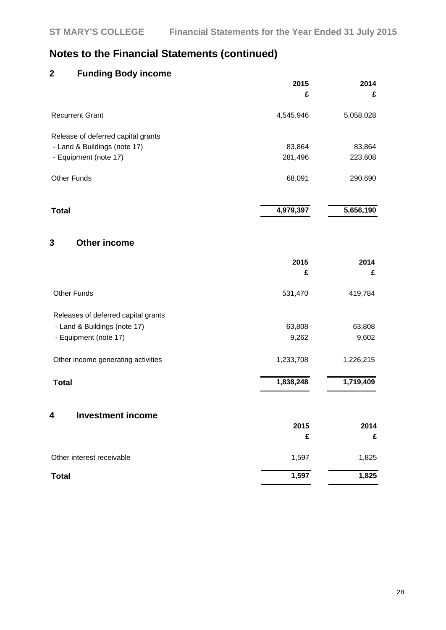# **2 Funding Body income**

|                                    | 2015      | 2014      |
|------------------------------------|-----------|-----------|
|                                    | £         | £         |
| <b>Recurrent Grant</b>             | 4,545,946 | 5,058,028 |
| Release of deferred capital grants |           |           |
| - Land & Buildings (note 17)       | 83,864    | 83,864    |
| - Equipment (note 17)              | 281,496   | 223,608   |
| <b>Other Funds</b>                 | 68,091    | 290,690   |
| Total                              | 4,979,397 | 5,656,190 |

### **3 Other income**

|                                     | 2015<br>£ | 2014<br>£ |
|-------------------------------------|-----------|-----------|
| <b>Other Funds</b>                  | 531,470   | 419,784   |
| Releases of deferred capital grants |           |           |
| - Land & Buildings (note 17)        | 63,808    | 63,808    |
| - Equipment (note 17)               | 9,262     | 9,602     |
| Other income generating activities  | 1,233,708 | 1,226,215 |
| <b>Total</b>                        | 1,838,248 | 1,719,409 |
| <b>Investment income</b><br>4       |           |           |
|                                     | 2015      | 2014      |
|                                     | £         | £         |
| Other interest receivable           | 1,597     | 1,825     |

**Total 1,597 1,825**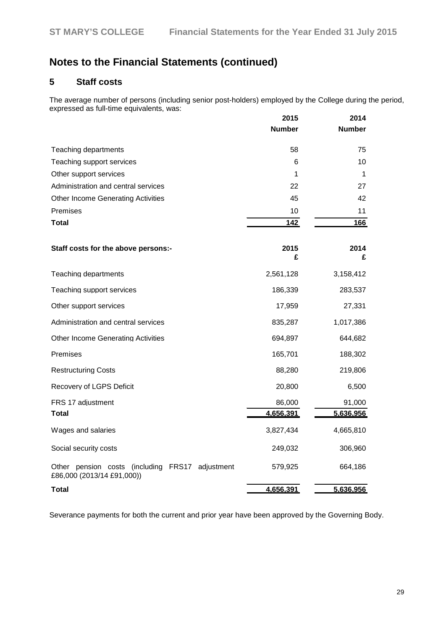## **5 Staff costs**

The average number of persons (including senior post-holders) employed by the College during the period, expressed as full-time equivalents, was:

|                                                                                     | 2015          | 2014          |
|-------------------------------------------------------------------------------------|---------------|---------------|
|                                                                                     | <b>Number</b> | <b>Number</b> |
| Teaching departments                                                                | 58            | 75            |
| Teaching support services                                                           | 6             | 10            |
| Other support services                                                              | 1             | 1             |
| Administration and central services                                                 | 22            | 27            |
| <b>Other Income Generating Activities</b>                                           | 45            | 42            |
| Premises                                                                            | 10            | 11            |
| <b>Total</b>                                                                        | <u>142</u>    | 166           |
| Staff costs for the above persons:-                                                 | 2015<br>£     | 2014<br>£     |
| Teaching departments                                                                | 2,561,128     | 3,158,412     |
| Teaching support services                                                           | 186,339       | 283,537       |
| Other support services                                                              | 17,959        | 27,331        |
| Administration and central services                                                 | 835,287       | 1,017,386     |
| <b>Other Income Generating Activities</b>                                           | 694,897       | 644,682       |
| Premises                                                                            | 165,701       | 188,302       |
| <b>Restructuring Costs</b>                                                          | 88,280        | 219,806       |
| Recovery of LGPS Deficit                                                            | 20,800        | 6,500         |
| FRS 17 adjustment                                                                   | 86,000        | 91,000        |
| <b>Total</b>                                                                        | 4,656,391     | 5,636,956     |
| Wages and salaries                                                                  | 3,827,434     | 4,665,810     |
| Social security costs                                                               | 249,032       | 306,960       |
| Other pension costs (including<br>FRS17<br>adjustment<br>£86,000 (2013/14 £91,000)) | 579,925       | 664,186       |
| Total                                                                               | 4,656,391     | 5,636,956     |

Severance payments for both the current and prior year have been approved by the Governing Body.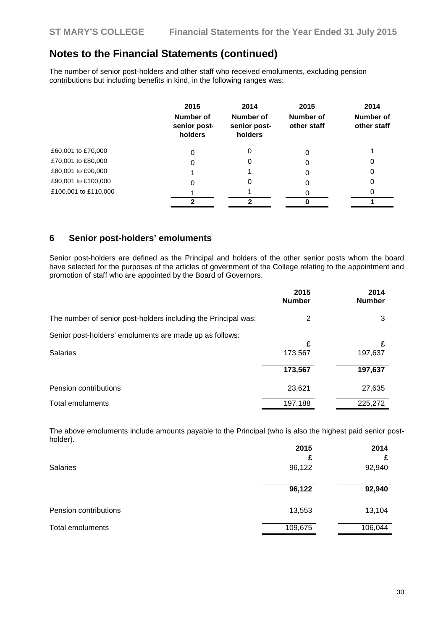The number of senior post-holders and other staff who received emoluments, excluding pension contributions but including benefits in kind, in the following ranges was:

|                      | 2015<br>Number of<br>senior post-<br>holders | 2014<br>Number of<br>senior post-<br>holders | 2015<br>Number of<br>other staff | 2014<br>Number of<br>other staff |
|----------------------|----------------------------------------------|----------------------------------------------|----------------------------------|----------------------------------|
| £60,001 to £70,000   | 0                                            | 0                                            | 0                                |                                  |
| £70,001 to £80,000   | 0                                            | O                                            | O                                | 0                                |
| £80,001 to £90,000   |                                              |                                              | 0                                | 0                                |
| £90,001 to £100,000  | 0                                            | O                                            | 0                                | 0                                |
| £100,001 to £110,000 |                                              |                                              |                                  | O                                |
|                      | າ                                            | າ                                            |                                  |                                  |

### **6 Senior post-holders' emoluments**

Senior post-holders are defined as the Principal and holders of the other senior posts whom the board have selected for the purposes of the articles of government of the College relating to the appointment and promotion of staff who are appointed by the Board of Governors.

|                                                                            | 2015<br><b>Number</b>   | 2014<br><b>Number</b>   |
|----------------------------------------------------------------------------|-------------------------|-------------------------|
| The number of senior post-holders including the Principal was:             | 2                       | 3                       |
| Senior post-holders' emoluments are made up as follows:<br><b>Salaries</b> | £<br>173,567<br>173,567 | £<br>197,637<br>197,637 |
| Pension contributions                                                      | 23,621                  | 27,635                  |
| Total emoluments                                                           | 197,188                 | 225,272                 |

The above emoluments include amounts payable to the Principal (who is also the highest paid senior postholder).

| <b>Salaries</b>         | 2015<br>£<br>96,122 | 2014<br>92,940 |
|-------------------------|---------------------|----------------|
|                         | 96,122              | 92,940         |
| Pension contributions   | 13,553              | 13,104         |
| <b>Total emoluments</b> | 109,675             | 106,044        |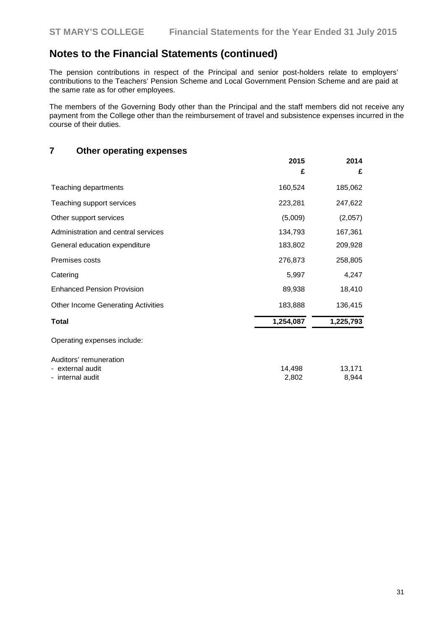The pension contributions in respect of the Principal and senior post-holders relate to employers' contributions to the Teachers' Pension Scheme and Local Government Pension Scheme and are paid at the same rate as for other employees.

The members of the Governing Body other than the Principal and the staff members did not receive any payment from the College other than the reimbursement of travel and subsistence expenses incurred in the course of their duties.

# **7 Other operating expenses**

|                                                                | 2015<br>£       | 2014<br>£       |
|----------------------------------------------------------------|-----------------|-----------------|
| Teaching departments                                           | 160,524         | 185,062         |
| Teaching support services                                      | 223,281         | 247,622         |
| Other support services                                         | (5,009)         | (2,057)         |
| Administration and central services                            | 134,793         | 167,361         |
| General education expenditure                                  | 183,802         | 209,928         |
| Premises costs                                                 | 276,873         | 258,805         |
| Catering                                                       | 5,997           | 4,247           |
| <b>Enhanced Pension Provision</b>                              | 89,938          | 18,410          |
| <b>Other Income Generating Activities</b>                      | 183,888         | 136,415         |
| <b>Total</b>                                                   | 1,254,087       | 1,225,793       |
| Operating expenses include:                                    |                 |                 |
| Auditors' remuneration<br>- external audit<br>- internal audit | 14,498<br>2,802 | 13,171<br>8,944 |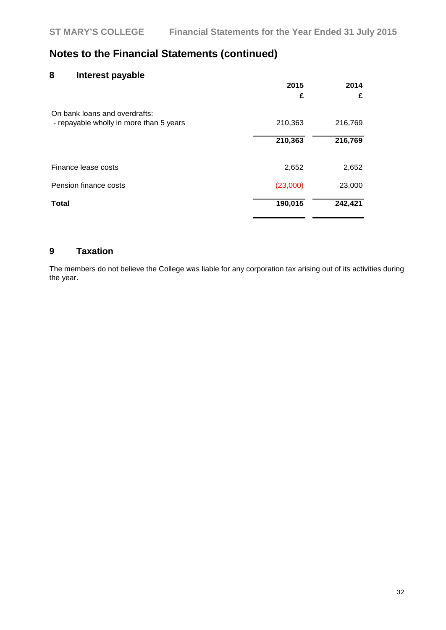### **8 Interest payable**

|                                                                          | 2015<br>£ | 2014<br>£ |
|--------------------------------------------------------------------------|-----------|-----------|
| On bank loans and overdrafts:<br>- repayable wholly in more than 5 years | 210,363   | 216,769   |
|                                                                          | 210,363   | 216,769   |
| Finance lease costs                                                      | 2,652     | 2,652     |
| Pension finance costs                                                    | (23,000)  | 23,000    |
| <b>Total</b>                                                             | 190,015   | 242,421   |

# **9 Taxation**

The members do not believe the College was liable for any corporation tax arising out of its activities during the year.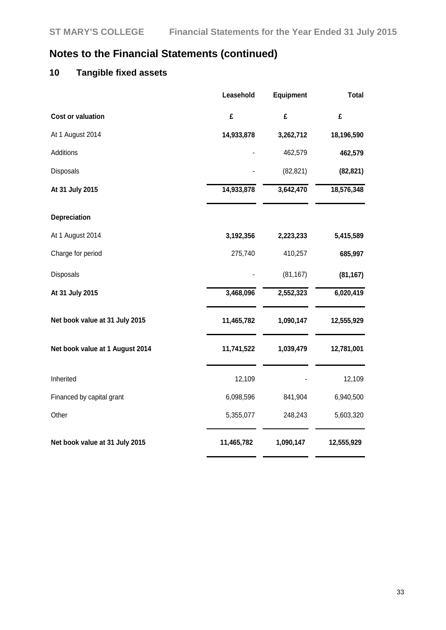# **10 Tangible fixed assets**

|                                 | Leasehold  | <b>Equipment</b> | <b>Total</b> |
|---------------------------------|------------|------------------|--------------|
| <b>Cost or valuation</b>        | £          | £                | £            |
| At 1 August 2014                | 14,933,878 | 3,262,712        | 18,196,590   |
| Additions                       |            | 462,579          | 462,579      |
| Disposals                       |            | (82, 821)        | (82, 821)    |
| At 31 July 2015                 | 14,933,878 | 3,642,470        | 18,576,348   |
| Depreciation                    |            |                  |              |
| At 1 August 2014                | 3,192,356  | 2,223,233        | 5,415,589    |
| Charge for period               | 275,740    | 410,257          | 685,997      |
| Disposals                       |            | (81, 167)        | (81, 167)    |
| At 31 July 2015                 | 3,468,096  | 2,552,323        | 6,020,419    |
| Net book value at 31 July 2015  | 11,465,782 | 1,090,147        | 12,555,929   |
| Net book value at 1 August 2014 | 11,741,522 | 1,039,479        | 12,781,001   |
| Inherited                       | 12,109     |                  | 12,109       |
| Financed by capital grant       | 6,098,596  | 841,904          | 6,940,500    |
| Other                           | 5,355,077  | 248,243          | 5,603,320    |
| Net book value at 31 July 2015  | 11,465,782 | 1,090,147        | 12,555,929   |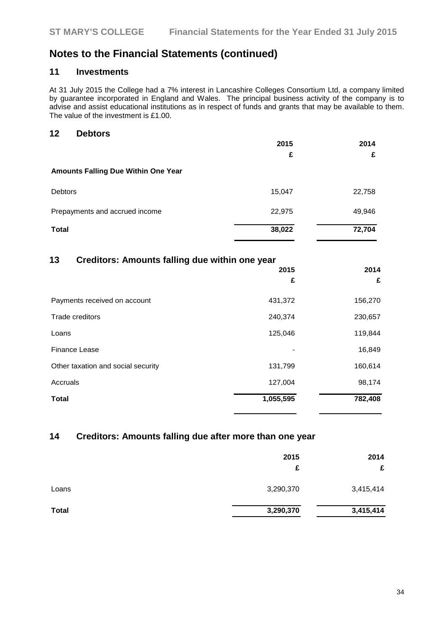# **11 Investments**

At 31 July 2015 the College had a 7% interest in Lancashire Colleges Consortium Ltd, a company limited by guarantee incorporated in England and Wales. The principal business activity of the company is to advise and assist educational institutions as in respect of funds and grants that may be available to them. The value of the investment is £1.00.

#### **12 Debtors**

|                                            | 2015   | 2014   |
|--------------------------------------------|--------|--------|
|                                            | £      | £      |
| <b>Amounts Falling Due Within One Year</b> |        |        |
| <b>Debtors</b>                             | 15,047 | 22,758 |
| Prepayments and accrued income             | 22,975 | 49,946 |
| <b>Total</b>                               | 38,022 | 72,704 |

### **13 Creditors: Amounts falling due within one year**

|                                    | 2015<br>£ | 2014<br>£ |
|------------------------------------|-----------|-----------|
| Payments received on account       | 431,372   | 156,270   |
| Trade creditors                    | 240,374   | 230,657   |
| Loans                              | 125,046   | 119,844   |
| Finance Lease                      |           | 16,849    |
| Other taxation and social security | 131,799   | 160,614   |
| Accruals                           | 127,004   | 98,174    |
| <b>Total</b>                       | 1,055,595 | 782,408   |

# **14 Creditors: Amounts falling due after more than one year**

|              | 2015<br>£ | 2014<br>£ |
|--------------|-----------|-----------|
| Loans        | 3,290,370 | 3,415,414 |
| <b>Total</b> | 3,290,370 | 3,415,414 |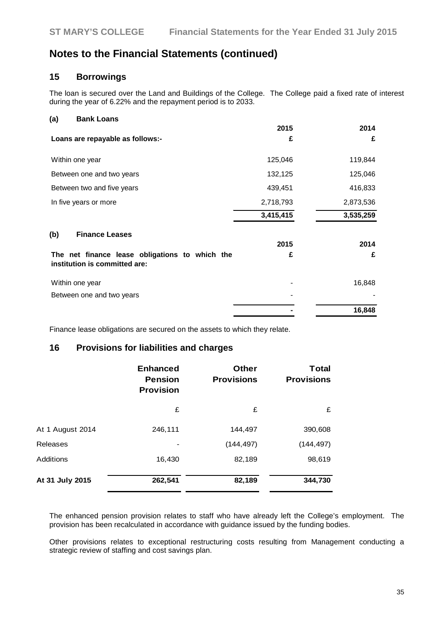### **15 Borrowings**

The loan is secured over the Land and Buildings of the College. The College paid a fixed rate of interest during the year of 6.22% and the repayment period is to 2033.

| (a)<br><b>Bank Loans</b>                                                        |           |           |
|---------------------------------------------------------------------------------|-----------|-----------|
|                                                                                 | 2015      | 2014      |
| Loans are repayable as follows:-                                                | £         | £         |
| Within one year                                                                 | 125,046   | 119,844   |
| Between one and two years                                                       | 132,125   | 125,046   |
| Between two and five years                                                      | 439,451   | 416,833   |
| In five years or more                                                           | 2,718,793 | 2,873,536 |
|                                                                                 | 3,415,415 | 3,535,259 |
| (b)<br><b>Finance Leases</b>                                                    |           |           |
|                                                                                 | 2015      | 2014      |
| The net finance lease obligations to which the<br>institution is committed are: | £         | £         |
| Within one year                                                                 |           | 16,848    |
| Between one and two years                                                       |           |           |
|                                                                                 |           | 16,848    |

Finance lease obligations are secured on the assets to which they relate.

#### **16 Provisions for liabilities and charges**

|                  | <b>Enhanced</b><br><b>Pension</b><br><b>Provision</b> | <b>Other</b><br><b>Provisions</b> | Total<br><b>Provisions</b> |
|------------------|-------------------------------------------------------|-----------------------------------|----------------------------|
|                  | £                                                     | £                                 | £                          |
| At 1 August 2014 | 246,111                                               | 144,497                           | 390,608                    |
| <b>Releases</b>  |                                                       | (144, 497)                        | (144, 497)                 |
| Additions        | 16,430                                                | 82,189                            | 98,619                     |
| At 31 July 2015  | 262,541                                               | 82,189                            | 344,730                    |

The enhanced pension provision relates to staff who have already left the College's employment. The provision has been recalculated in accordance with guidance issued by the funding bodies.

Other provisions relates to exceptional restructuring costs resulting from Management conducting a strategic review of staffing and cost savings plan.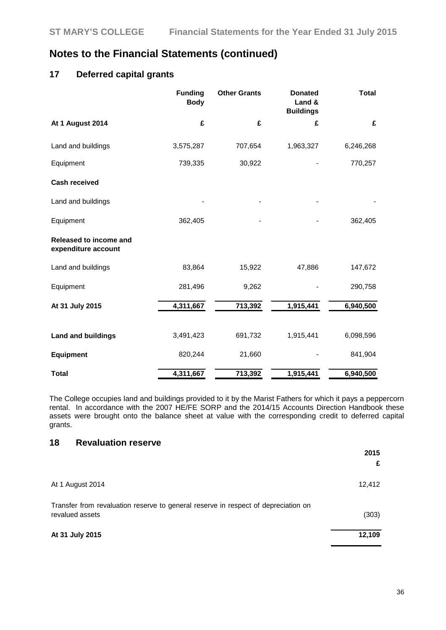### **17 Deferred capital grants**

|                                               | <b>Funding</b><br><b>Body</b> | <b>Other Grants</b> | <b>Donated</b><br>Land &<br><b>Buildings</b> | <b>Total</b> |
|-----------------------------------------------|-------------------------------|---------------------|----------------------------------------------|--------------|
| At 1 August 2014                              | £                             | £                   | £                                            | £            |
| Land and buildings                            | 3,575,287                     | 707,654             | 1,963,327                                    | 6,246,268    |
| Equipment                                     | 739,335                       | 30,922              |                                              | 770,257      |
| <b>Cash received</b>                          |                               |                     |                                              |              |
| Land and buildings                            |                               |                     |                                              |              |
| Equipment                                     | 362,405                       |                     |                                              | 362,405      |
| Released to income and<br>expenditure account |                               |                     |                                              |              |
| Land and buildings                            | 83,864                        | 15,922              | 47,886                                       | 147,672      |
| Equipment                                     | 281,496                       | 9,262               |                                              | 290,758      |
| At 31 July 2015                               | 4,311,667                     | 713,392             | 1,915,441                                    | 6,940,500    |
| <b>Land and buildings</b>                     | 3,491,423                     | 691,732             | 1,915,441                                    | 6,098,596    |
| <b>Equipment</b>                              | 820,244                       | 21,660              |                                              | 841,904      |
| <b>Total</b>                                  | 4,311,667                     | 713,392             | 1,915,441                                    | 6,940,500    |

The College occupies land and buildings provided to it by the Marist Fathers for which it pays a peppercorn rental. In accordance with the 2007 HE/FE SORP and the 2014/15 Accounts Direction Handbook these assets were brought onto the balance sheet at value with the corresponding credit to deferred capital grants.

### **18 Revaluation reserve**

|                                                                                                       | 2015<br>£ |
|-------------------------------------------------------------------------------------------------------|-----------|
| At 1 August 2014                                                                                      | 12,412    |
| Transfer from revaluation reserve to general reserve in respect of depreciation on<br>revalued assets | (303)     |
| At 31 July 2015                                                                                       | 12,109    |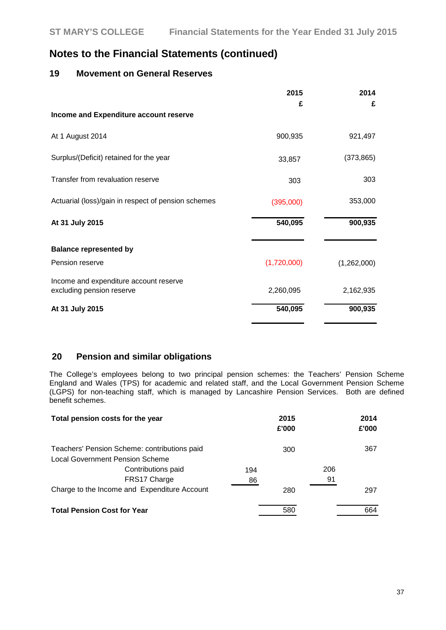### **19 Movement on General Reserves**

|                                                                     | 2015        | 2014        |
|---------------------------------------------------------------------|-------------|-------------|
|                                                                     | £           | £           |
| Income and Expenditure account reserve                              |             |             |
| At 1 August 2014                                                    | 900,935     | 921,497     |
| Surplus/(Deficit) retained for the year                             | 33,857      | (373, 865)  |
| Transfer from revaluation reserve                                   | 303         | 303         |
| Actuarial (loss)/gain in respect of pension schemes                 | (395,000)   | 353,000     |
| At 31 July 2015                                                     | 540,095     | 900,935     |
| <b>Balance represented by</b>                                       |             |             |
| Pension reserve                                                     | (1,720,000) | (1,262,000) |
| Income and expenditure account reserve<br>excluding pension reserve | 2,260,095   | 2,162,935   |
| At 31 July 2015                                                     | 540,095     | 900,935     |

### **20 Pension and similar obligations**

The College's employees belong to two principal pension schemes: the Teachers' Pension Scheme England and Wales (TPS) for academic and related staff, and the Local Government Pension Scheme (LGPS) for non-teaching staff, which is managed by Lancashire Pension Services. Both are defined benefit schemes.

| Total pension costs for the year                                                |           | 2015<br>£'000 |           | 2014<br>£'000 |
|---------------------------------------------------------------------------------|-----------|---------------|-----------|---------------|
| Teachers' Pension Scheme: contributions paid<br>Local Government Pension Scheme |           | 300           |           | 367           |
| Contributions paid<br>FRS17 Charge                                              | 194<br>86 |               | 206<br>91 |               |
| Charge to the Income and Expenditure Account                                    |           | 280           |           | 297           |
| <b>Total Pension Cost for Year</b>                                              |           | 580           |           | 664           |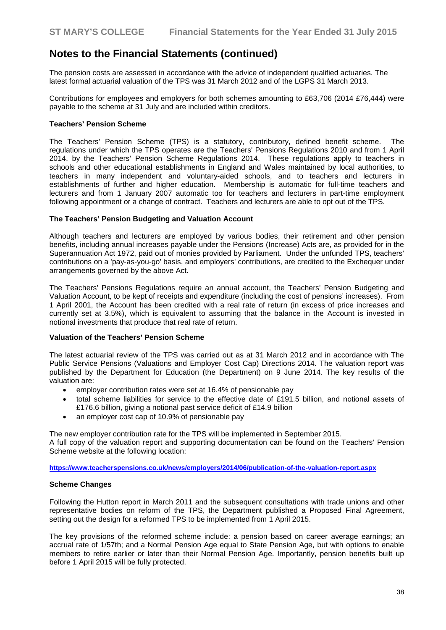The pension costs are assessed in accordance with the advice of independent qualified actuaries. The latest formal actuarial valuation of the TPS was 31 March 2012 and of the LGPS 31 March 2013.

Contributions for employees and employers for both schemes amounting to £63,706 (2014 £76,444) were payable to the scheme at 31 July and are included within creditors.

#### **Teachers' Pension Scheme**

The Teachers' Pension Scheme (TPS) is a statutory, contributory, defined benefit scheme. The regulations under which the TPS operates are the Teachers' Pensions Regulations 2010 and from 1 April 2014, by the Teachers' Pension Scheme Regulations 2014. These regulations apply to teachers in schools and other educational establishments in England and Wales maintained by local authorities, to teachers in many independent and voluntary-aided schools, and to teachers and lecturers in establishments of further and higher education. Membership is automatic for full-time teachers and lecturers and from 1 January 2007 automatic too for teachers and lecturers in part-time employment following appointment or a change of contract. Teachers and lecturers are able to opt out of the TPS.

#### **The Teachers' Pension Budgeting and Valuation Account**

Although teachers and lecturers are employed by various bodies, their retirement and other pension benefits, including annual increases payable under the Pensions (Increase) Acts are, as provided for in the Superannuation Act 1972, paid out of monies provided by Parliament. Under the unfunded TPS, teachers' contributions on a 'pay-as-you-go' basis, and employers' contributions, are credited to the Exchequer under arrangements governed by the above Act.

The Teachers' Pensions Regulations require an annual account, the Teachers' Pension Budgeting and Valuation Account, to be kept of receipts and expenditure (including the cost of pensions' increases). From 1 April 2001, the Account has been credited with a real rate of return (in excess of price increases and currently set at 3.5%), which is equivalent to assuming that the balance in the Account is invested in notional investments that produce that real rate of return.

#### **Valuation of the Teachers' Pension Scheme**

The latest actuarial review of the TPS was carried out as at 31 March 2012 and in accordance with The Public Service Pensions (Valuations and Employer Cost Cap) Directions 2014. The valuation report was published by the Department for Education (the Department) on 9 June 2014. The key results of the valuation are:

- employer contribution rates were set at 16.4% of pensionable pay
- total scheme liabilities for service to the effective date of £191.5 billion, and notional assets of £176.6 billion, giving a notional past service deficit of £14.9 billion
- an employer cost cap of 10.9% of pensionable pay

The new employer contribution rate for the TPS will be implemented in September 2015. A full copy of the valuation report and supporting documentation can be found on the Teachers' Pension Scheme website at the following location:

**<https://www.teacherspensions.co.uk/news/employers/2014/06/publication-of-the-valuation-report.aspx>**

#### **Scheme Changes**

Following the Hutton report in March 2011 and the subsequent consultations with trade unions and other representative bodies on reform of the TPS, the Department published a Proposed Final Agreement, setting out the design for a reformed TPS to be implemented from 1 April 2015.

The key provisions of the reformed scheme include: a pension based on career average earnings; an accrual rate of 1/57th; and a Normal Pension Age equal to State Pension Age, but with options to enable members to retire earlier or later than their Normal Pension Age. Importantly, pension benefits built up before 1 April 2015 will be fully protected.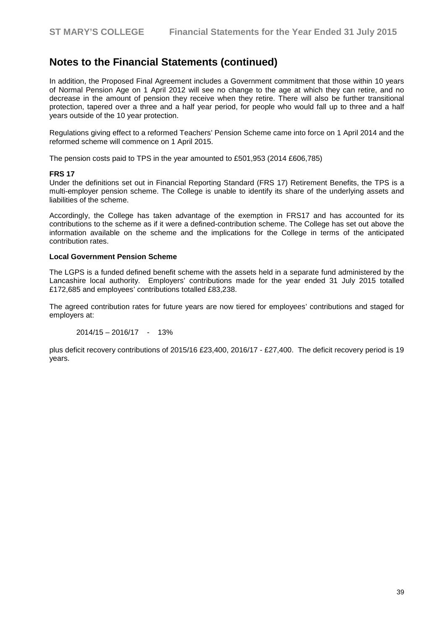In addition, the Proposed Final Agreement includes a Government commitment that those within 10 years of Normal Pension Age on 1 April 2012 will see no change to the age at which they can retire, and no decrease in the amount of pension they receive when they retire. There will also be further transitional protection, tapered over a three and a half year period, for people who would fall up to three and a half years outside of the 10 year protection.

Regulations giving effect to a reformed Teachers' Pension Scheme came into force on 1 April 2014 and the reformed scheme will commence on 1 April 2015.

The pension costs paid to TPS in the year amounted to £501,953 (2014 £606,785)

#### **FRS 17**

Under the definitions set out in Financial Reporting Standard (FRS 17) Retirement Benefits, the TPS is a multi-employer pension scheme. The College is unable to identify its share of the underlying assets and liabilities of the scheme.

Accordingly, the College has taken advantage of the exemption in FRS17 and has accounted for its contributions to the scheme as if it were a defined-contribution scheme. The College has set out above the information available on the scheme and the implications for the College in terms of the anticipated contribution rates.

#### **Local Government Pension Scheme**

The LGPS is a funded defined benefit scheme with the assets held in a separate fund administered by the Lancashire local authority. Employers' contributions made for the year ended 31 July 2015 totalled £172,685 and employees' contributions totalled £83,238.

The agreed contribution rates for future years are now tiered for employees' contributions and staged for employers at:

 $2014/15 - 2016/17 - 13%$ 

plus deficit recovery contributions of 2015/16 £23,400, 2016/17 - £27,400. The deficit recovery period is 19 years.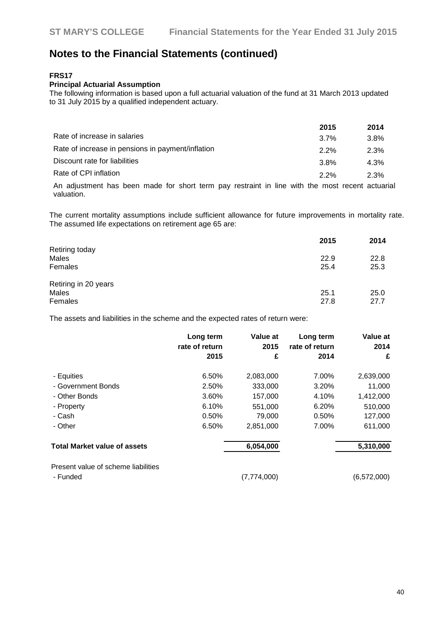#### **FRS17**

#### **Principal Actuarial Assumption**

The following information is based upon a full actuarial valuation of the fund at 31 March 2013 updated to 31 July 2015 by a qualified independent actuary.

|                                                   | 2015    | 2014 |
|---------------------------------------------------|---------|------|
| Rate of increase in salaries                      | $3.7\%$ | 3.8% |
| Rate of increase in pensions in payment/inflation | $2.2\%$ | 2.3% |
| Discount rate for liabilities                     | $3.8\%$ | 4.3% |
| Rate of CPI inflation                             | $2.2\%$ | 2.3% |
|                                                   |         |      |

An adjustment has been made for short term pay restraint in line with the most recent actuarial valuation.

The current mortality assumptions include sufficient allowance for future improvements in mortality rate. The assumed life expectations on retirement age 65 are:

|                      | 2015 | 2014 |
|----------------------|------|------|
| Retiring today       |      |      |
| <b>Males</b>         | 22.9 | 22.8 |
| Females              | 25.4 | 25.3 |
| Retiring in 20 years |      |      |
| Males                | 25.1 | 25.0 |
| Females              | 27.8 | 27.7 |

The assets and liabilities in the scheme and the expected rates of return were:

|                                                 | Long term<br>rate of return<br>2015 | Value at<br>2015<br>£ | Long term<br>rate of return<br>2014 | Value at<br>2014<br>£ |
|-------------------------------------------------|-------------------------------------|-----------------------|-------------------------------------|-----------------------|
| - Equities                                      | 6.50%                               | 2,083,000             | 7.00%                               | 2,639,000             |
| - Government Bonds                              | 2.50%                               | 333,000               | 3.20%                               | 11,000                |
| - Other Bonds                                   | 3.60%                               | 157,000               | 4.10%                               | 1,412,000             |
| - Property                                      | 6.10%                               | 551,000               | 6.20%                               | 510,000               |
| - Cash                                          | 0.50%                               | 79,000                | 0.50%                               | 127,000               |
| - Other                                         | 6.50%                               | 2,851,000             | 7.00%                               | 611,000               |
| <b>Total Market value of assets</b>             |                                     | 6,054,000             |                                     | 5,310,000             |
| Present value of scheme liabilities<br>- Funded |                                     | (7,774,000)           |                                     | (6, 572, 000)         |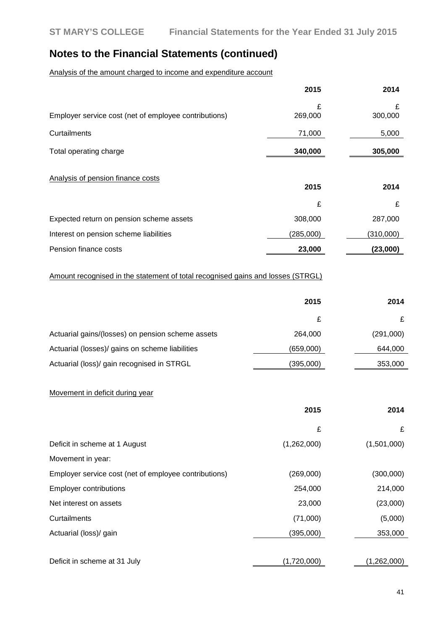Analysis of the amount charged to income and expenditure account

|                                                       | 2015         | 2014         |
|-------------------------------------------------------|--------------|--------------|
| Employer service cost (net of employee contributions) | £<br>269,000 | £<br>300,000 |
| Curtailments                                          | 71,000       | 5,000        |
| Total operating charge                                | 340,000      | 305,000      |
| Analysis of pension finance costs                     | 2015         | 2014         |
|                                                       | £            | £            |
| Expected return on pension scheme assets              | 308,000      | 287,000      |
| Interest on pension scheme liabilities                | (285,000)    | (310,000)    |
| Pension finance costs                                 | 23,000       | (23,000)     |

#### Amount recognised in the statement of total recognised gains and losses (STRGL)

|                                                   | 2015      | 2014      |
|---------------------------------------------------|-----------|-----------|
|                                                   | £         |           |
| Actuarial gains/(losses) on pension scheme assets | 264,000   | (291,000) |
| Actuarial (losses)/ gains on scheme liabilities   | (659,000) | 644,000   |
| Actuarial (loss)/ gain recognised in STRGL        | (395,000) | 353,000   |
|                                                   |           |           |

### Movement in deficit during year

|                                                       | 2015        | 2014        |
|-------------------------------------------------------|-------------|-------------|
|                                                       | £           | £           |
| Deficit in scheme at 1 August                         | (1,262,000) | (1,501,000) |
| Movement in year:                                     |             |             |
| Employer service cost (net of employee contributions) | (269,000)   | (300,000)   |
| <b>Employer contributions</b>                         | 254,000     | 214,000     |
| Net interest on assets                                | 23,000      | (23,000)    |
| Curtailments                                          | (71,000)    | (5,000)     |
| Actuarial (loss)/ gain                                | (395,000)   | 353,000     |
|                                                       |             |             |
| Deficit in scheme at 31 July                          | (1,720,000) | (1,262,000) |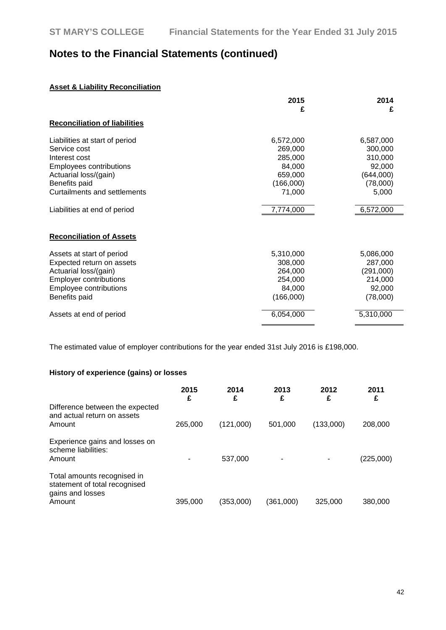### **Asset & Liability Reconciliation**

|                                      | 2015      | 2014      |
|--------------------------------------|-----------|-----------|
|                                      | £         | £         |
| <b>Reconciliation of liabilities</b> |           |           |
| Liabilities at start of period       | 6,572,000 | 6,587,000 |
| Service cost                         | 269,000   | 300,000   |
| Interest cost                        | 285,000   | 310,000   |
| <b>Employees contributions</b>       | 84,000    | 92,000    |
| Actuarial loss/(gain)                | 659,000   | (644,000) |
| Benefits paid                        | (166,000) | (78,000)  |
| Curtailments and settlements         | 71,000    | 5,000     |
| Liabilities at end of period         | 7,774,000 | 6,572,000 |
| <b>Reconciliation of Assets</b>      |           |           |
| Assets at start of period            | 5,310,000 | 5,086,000 |
| Expected return on assets            | 308,000   | 287,000   |
| Actuarial loss/(gain)                | 264,000   | (291,000) |
| <b>Employer contributions</b>        | 254,000   | 214,000   |
| <b>Employee contributions</b>        | 84,000    | 92,000    |
| Benefits paid                        | (166,000) | (78,000)  |
| Assets at end of period              | 6,054,000 | 5,310,000 |
|                                      |           |           |

The estimated value of employer contributions for the year ended 31st July 2016 is £198,000.

#### **History of experience (gains) or losses**

|                                                                                            | 2015<br>£ | 2014<br>£ | 2013<br>£ | 2012<br>£ | 2011      |
|--------------------------------------------------------------------------------------------|-----------|-----------|-----------|-----------|-----------|
| Difference between the expected<br>and actual return on assets<br>Amount                   | 265,000   | (121,000) | 501.000   | (133.000) | 208,000   |
| Experience gains and losses on<br>scheme liabilities:<br>Amount                            |           | 537,000   |           |           | (225,000) |
| Total amounts recognised in<br>statement of total recognised<br>gains and losses<br>Amount | 395,000   | (353,000) | (361,000) | 325,000   | 380,000   |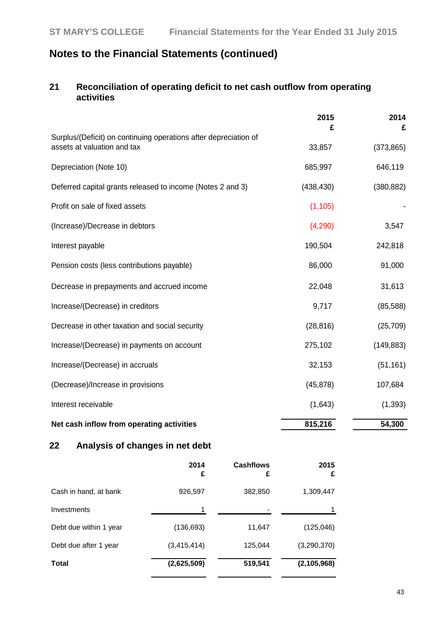### **21 Reconciliation of operating deficit to net cash outflow from operating activities**

|                                                                                                 | 2015<br>£  | 2014<br>£  |
|-------------------------------------------------------------------------------------------------|------------|------------|
| Surplus/(Deficit) on continuing operations after depreciation of<br>assets at valuation and tax | 33,857     | (373, 865) |
| Depreciation (Note 10)                                                                          | 685,997    | 646,119    |
| Deferred capital grants released to income (Notes 2 and 3)                                      | (438, 430) | (380, 882) |
| Profit on sale of fixed assets                                                                  | (1, 105)   |            |
| (Increase)/Decrease in debtors                                                                  | (4,290)    | 3,547      |
| Interest payable                                                                                | 190,504    | 242,818    |
| Pension costs (less contributions payable)                                                      | 86,000     | 91,000     |
| Decrease in prepayments and accrued income                                                      | 22,048     | 31,613     |
| Increase/(Decrease) in creditors                                                                | 9,717      | (85, 588)  |
| Decrease in other taxation and social security                                                  | (28, 816)  | (25, 709)  |
| Increase/(Decrease) in payments on account                                                      | 275,102    | (149, 883) |
| Increase/(Decrease) in accruals                                                                 | 32,153     | (51, 161)  |
| (Decrease)/Increase in provisions                                                               | (45, 878)  | 107,684    |
| Interest receivable                                                                             | (1,643)    | (1, 393)   |
| Net cash inflow from operating activities                                                       | 815,216    | 54,300     |

# **22 Analysis of changes in net debt**

|                        | 2014<br>£     | <b>Cashflows</b><br>£ | 2015<br>£     |
|------------------------|---------------|-----------------------|---------------|
| Cash in hand, at bank  | 926,597       | 382,850               | 1,309,447     |
| Investments            |               |                       |               |
| Debt due within 1 year | (136, 693)    | 11,647                | (125, 046)    |
| Debt due after 1 year  | (3, 415, 414) | 125,044               | (3, 290, 370) |
| <b>Total</b>           | (2,625,509)   | 519,541               | (2, 105, 968) |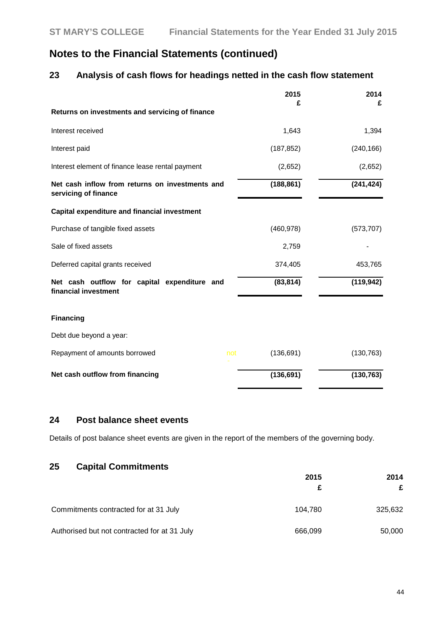### **23 Analysis of cash flows for headings netted in the cash flow statement**

|                                                                         | 2015<br>£         | 2014<br>£  |
|-------------------------------------------------------------------------|-------------------|------------|
| Returns on investments and servicing of finance                         |                   |            |
| Interest received                                                       | 1,643             | 1,394      |
| Interest paid                                                           | (187, 852)        | (240, 166) |
| Interest element of finance lease rental payment                        | (2,652)           | (2,652)    |
| Net cash inflow from returns on investments and<br>servicing of finance | (188, 861)        | (241, 424) |
| Capital expenditure and financial investment                            |                   |            |
| Purchase of tangible fixed assets                                       | (460, 978)        | (573, 707) |
| Sale of fixed assets                                                    | 2,759             |            |
| Deferred capital grants received                                        | 374,405           | 453,765    |
| Net cash outflow for capital expenditure and<br>financial investment    | (83, 814)         | (119, 942) |
| <b>Financing</b>                                                        |                   |            |
| Debt due beyond a year:                                                 |                   |            |
| Repayment of amounts borrowed                                           | (136, 691)<br>not | (130, 763) |
| Net cash outflow from financing                                         | (136, 691)        | (130, 763) |

## **24 Post balance sheet events**

Details of post balance sheet events are given in the report of the members of the governing body.

# **25 Capital Commitments**

|                                              | 2015    | 2014    |
|----------------------------------------------|---------|---------|
|                                              |         | £       |
| Commitments contracted for at 31 July        | 104.780 | 325,632 |
| Authorised but not contracted for at 31 July | 666,099 | 50,000  |